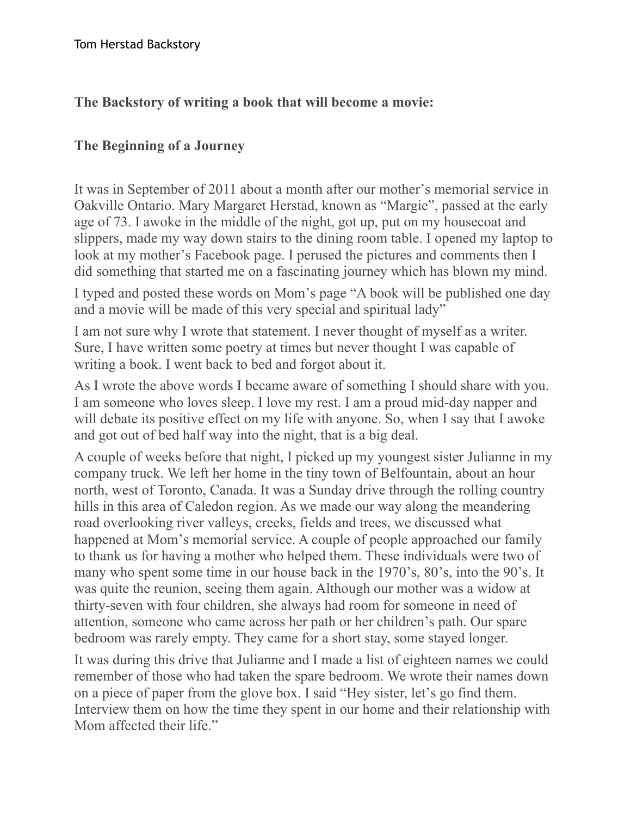## **The Backstory of writing a book that will become a movie:**

## **The Beginning of a Journey**

It was in September of 2011 about a month after our mother's memorial service in Oakville Ontario. Mary Margaret Herstad, known as "Margie", passed at the early age of 73. I awoke in the middle of the night, got up, put on my housecoat and slippers, made my way down stairs to the dining room table. I opened my laptop to look at my mother's Facebook page. I perused the pictures and comments then I did something that started me on a fascinating journey which has blown my mind.

I typed and posted these words on Mom's page "A book will be published one day and a movie will be made of this very special and spiritual lady"

I am not sure why I wrote that statement. I never thought of myself as a writer. Sure, I have written some poetry at times but never thought I was capable of writing a book. I went back to bed and forgot about it.

As I wrote the above words I became aware of something I should share with you. I am someone who loves sleep. I love my rest. I am a proud mid-day napper and will debate its positive effect on my life with anyone. So, when I say that I awoke and got out of bed half way into the night, that is a big deal.

A couple of weeks before that night, I picked up my youngest sister Julianne in my company truck. We left her home in the tiny town of Belfountain, about an hour north, west of Toronto, Canada. It was a Sunday drive through the rolling country hills in this area of Caledon region. As we made our way along the meandering road overlooking river valleys, creeks, fields and trees, we discussed what happened at Mom's memorial service. A couple of people approached our family to thank us for having a mother who helped them. These individuals were two of many who spent some time in our house back in the 1970's, 80's, into the 90's. It was quite the reunion, seeing them again. Although our mother was a widow at thirty-seven with four children, she always had room for someone in need of attention, someone who came across her path or her children's path. Our spare bedroom was rarely empty. They came for a short stay, some stayed longer.

It was during this drive that Julianne and I made a list of eighteen names we could remember of those who had taken the spare bedroom. We wrote their names down on a piece of paper from the glove box. I said "Hey sister, let's go find them. Interview them on how the time they spent in our home and their relationship with Mom affected their life."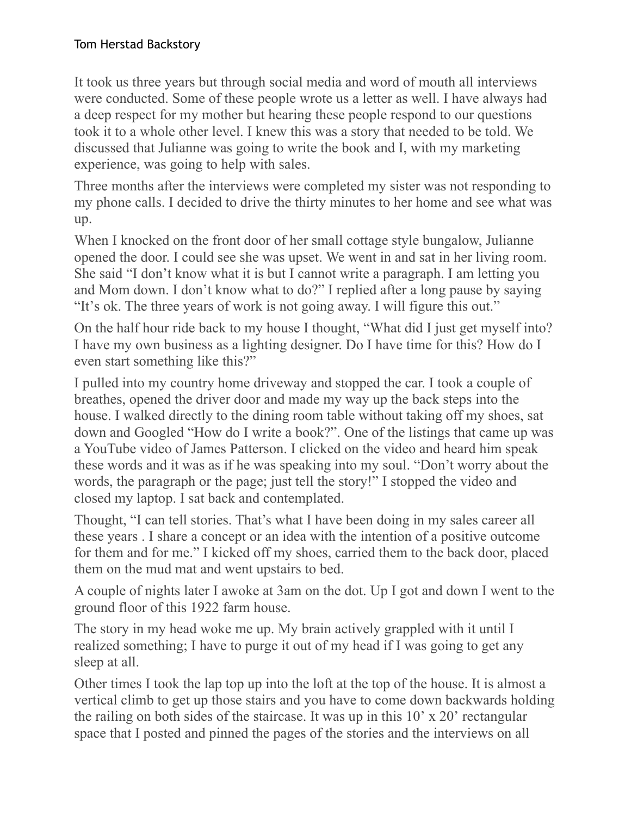It took us three years but through social media and word of mouth all interviews were conducted. Some of these people wrote us a letter as well. I have always had a deep respect for my mother but hearing these people respond to our questions took it to a whole other level. I knew this was a story that needed to be told. We discussed that Julianne was going to write the book and I, with my marketing experience, was going to help with sales.

Three months after the interviews were completed my sister was not responding to my phone calls. I decided to drive the thirty minutes to her home and see what was up.

When I knocked on the front door of her small cottage style bungalow, Julianne opened the door. I could see she was upset. We went in and sat in her living room. She said "I don't know what it is but I cannot write a paragraph. I am letting you and Mom down. I don't know what to do?" I replied after a long pause by saying "It's ok. The three years of work is not going away. I will figure this out."

On the half hour ride back to my house I thought, "What did I just get myself into? I have my own business as a lighting designer. Do I have time for this? How do I even start something like this?"

I pulled into my country home driveway and stopped the car. I took a couple of breathes, opened the driver door and made my way up the back steps into the house. I walked directly to the dining room table without taking off my shoes, sat down and Googled "How do I write a book?". One of the listings that came up was a YouTube video of James Patterson. I clicked on the video and heard him speak these words and it was as if he was speaking into my soul. "Don't worry about the words, the paragraph or the page; just tell the story!" I stopped the video and closed my laptop. I sat back and contemplated.

Thought, "I can tell stories. That's what I have been doing in my sales career all these years . I share a concept or an idea with the intention of a positive outcome for them and for me." I kicked off my shoes, carried them to the back door, placed them on the mud mat and went upstairs to bed.

A couple of nights later I awoke at 3am on the dot. Up I got and down I went to the ground floor of this 1922 farm house.

The story in my head woke me up. My brain actively grappled with it until I realized something; I have to purge it out of my head if I was going to get any sleep at all.

Other times I took the lap top up into the loft at the top of the house. It is almost a vertical climb to get up those stairs and you have to come down backwards holding the railing on both sides of the staircase. It was up in this 10' x 20' rectangular space that I posted and pinned the pages of the stories and the interviews on all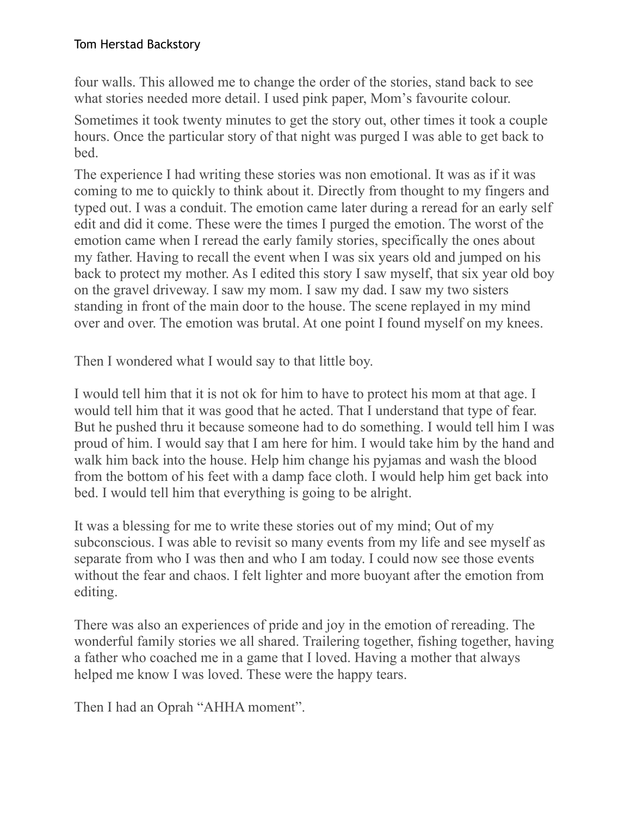four walls. This allowed me to change the order of the stories, stand back to see what stories needed more detail. I used pink paper, Mom's favourite colour.

Sometimes it took twenty minutes to get the story out, other times it took a couple hours. Once the particular story of that night was purged I was able to get back to bed.

The experience I had writing these stories was non emotional. It was as if it was coming to me to quickly to think about it. Directly from thought to my fingers and typed out. I was a conduit. The emotion came later during a reread for an early self edit and did it come. These were the times I purged the emotion. The worst of the emotion came when I reread the early family stories, specifically the ones about my father. Having to recall the event when I was six years old and jumped on his back to protect my mother. As I edited this story I saw myself, that six year old boy on the gravel driveway. I saw my mom. I saw my dad. I saw my two sisters standing in front of the main door to the house. The scene replayed in my mind over and over. The emotion was brutal. At one point I found myself on my knees.

Then I wondered what I would say to that little boy.

I would tell him that it is not ok for him to have to protect his mom at that age. I would tell him that it was good that he acted. That I understand that type of fear. But he pushed thru it because someone had to do something. I would tell him I was proud of him. I would say that I am here for him. I would take him by the hand and walk him back into the house. Help him change his pyjamas and wash the blood from the bottom of his feet with a damp face cloth. I would help him get back into bed. I would tell him that everything is going to be alright.

It was a blessing for me to write these stories out of my mind; Out of my subconscious. I was able to revisit so many events from my life and see myself as separate from who I was then and who I am today. I could now see those events without the fear and chaos. I felt lighter and more buoyant after the emotion from editing.

There was also an experiences of pride and joy in the emotion of rereading. The wonderful family stories we all shared. Trailering together, fishing together, having a father who coached me in a game that I loved. Having a mother that always helped me know I was loved. These were the happy tears.

Then I had an Oprah "AHHA moment".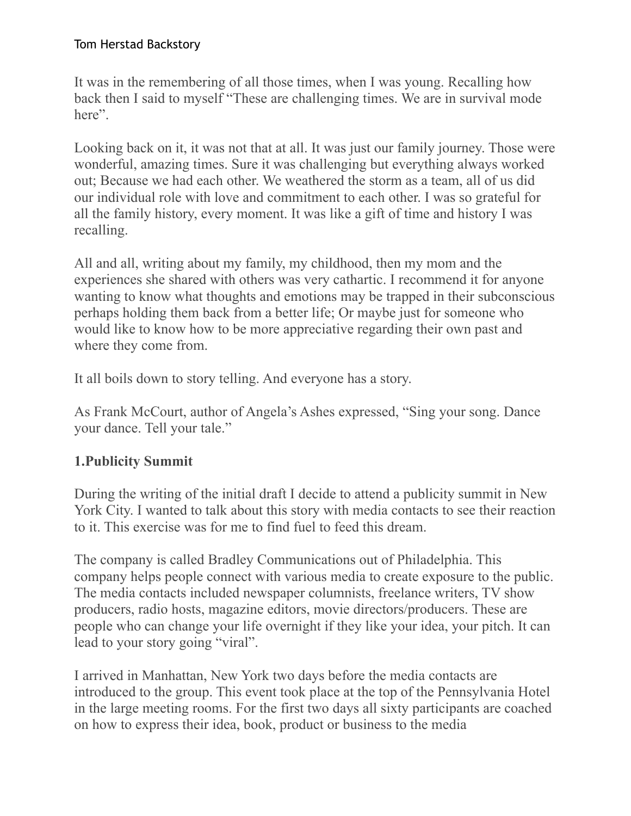It was in the remembering of all those times, when I was young. Recalling how back then I said to myself "These are challenging times. We are in survival mode here".

Looking back on it, it was not that at all. It was just our family journey. Those were wonderful, amazing times. Sure it was challenging but everything always worked out; Because we had each other. We weathered the storm as a team, all of us did our individual role with love and commitment to each other. I was so grateful for all the family history, every moment. It was like a gift of time and history I was recalling.

All and all, writing about my family, my childhood, then my mom and the experiences she shared with others was very cathartic. I recommend it for anyone wanting to know what thoughts and emotions may be trapped in their subconscious perhaps holding them back from a better life; Or maybe just for someone who would like to know how to be more appreciative regarding their own past and where they come from.

It all boils down to story telling. And everyone has a story.

As Frank McCourt, author of Angela's Ashes expressed, "Sing your song. Dance your dance. Tell your tale."

## **1.Publicity Summit**

During the writing of the initial draft I decide to attend a publicity summit in New York City. I wanted to talk about this story with media contacts to see their reaction to it. This exercise was for me to find fuel to feed this dream.

The company is called Bradley Communications out of Philadelphia. This company helps people connect with various media to create exposure to the public. The media contacts included newspaper columnists, freelance writers, TV show producers, radio hosts, magazine editors, movie directors/producers. These are people who can change your life overnight if they like your idea, your pitch. It can lead to your story going "viral".

I arrived in Manhattan, New York two days before the media contacts are introduced to the group. This event took place at the top of the Pennsylvania Hotel in the large meeting rooms. For the first two days all sixty participants are coached on how to express their idea, book, product or business to the media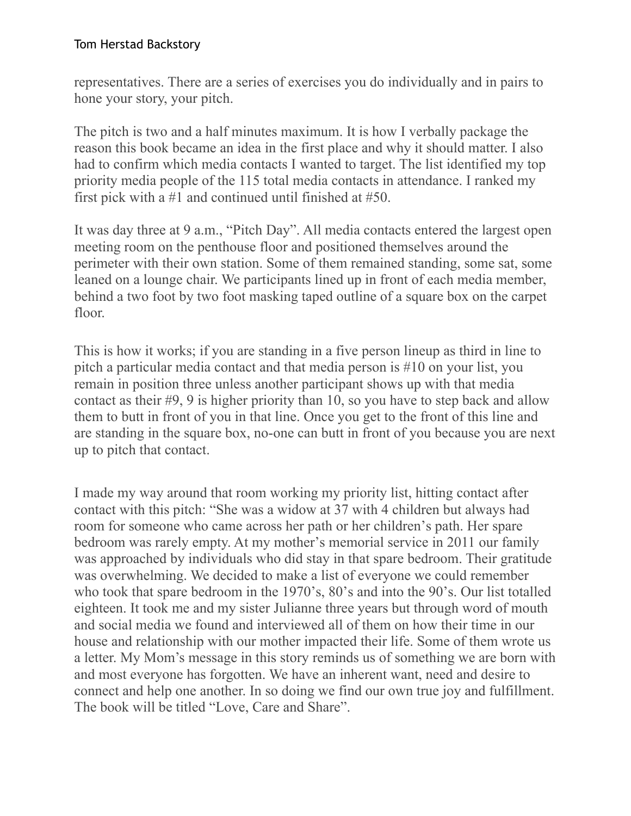representatives. There are a series of exercises you do individually and in pairs to hone your story, your pitch.

The pitch is two and a half minutes maximum. It is how I verbally package the reason this book became an idea in the first place and why it should matter. I also had to confirm which media contacts I wanted to target. The list identified my top priority media people of the 115 total media contacts in attendance. I ranked my first pick with a #1 and continued until finished at #50.

It was day three at 9 a.m., "Pitch Day". All media contacts entered the largest open meeting room on the penthouse floor and positioned themselves around the perimeter with their own station. Some of them remained standing, some sat, some leaned on a lounge chair. We participants lined up in front of each media member, behind a two foot by two foot masking taped outline of a square box on the carpet floor.

This is how it works; if you are standing in a five person lineup as third in line to pitch a particular media contact and that media person is #10 on your list, you remain in position three unless another participant shows up with that media contact as their #9, 9 is higher priority than 10, so you have to step back and allow them to butt in front of you in that line. Once you get to the front of this line and are standing in the square box, no-one can butt in front of you because you are next up to pitch that contact.

I made my way around that room working my priority list, hitting contact after contact with this pitch: "She was a widow at 37 with 4 children but always had room for someone who came across her path or her children's path. Her spare bedroom was rarely empty. At my mother's memorial service in 2011 our family was approached by individuals who did stay in that spare bedroom. Their gratitude was overwhelming. We decided to make a list of everyone we could remember who took that spare bedroom in the 1970's, 80's and into the 90's. Our list totalled eighteen. It took me and my sister Julianne three years but through word of mouth and social media we found and interviewed all of them on how their time in our house and relationship with our mother impacted their life. Some of them wrote us a letter. My Mom's message in this story reminds us of something we are born with and most everyone has forgotten. We have an inherent want, need and desire to connect and help one another. In so doing we find our own true joy and fulfillment. The book will be titled "Love, Care and Share".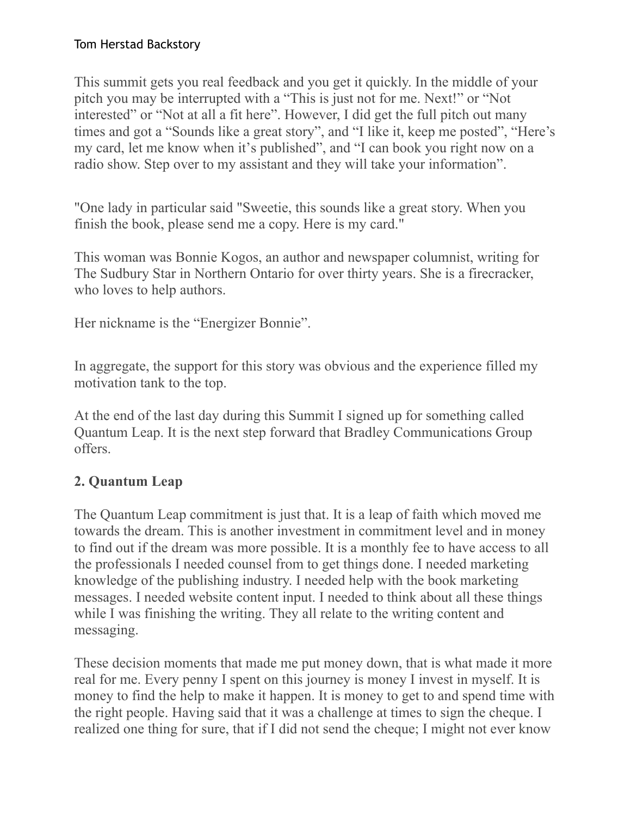This summit gets you real feedback and you get it quickly. In the middle of your pitch you may be interrupted with a "This is just not for me. Next!" or "Not interested" or "Not at all a fit here". However, I did get the full pitch out many times and got a "Sounds like a great story", and "I like it, keep me posted", "Here's my card, let me know when it's published", and "I can book you right now on a radio show. Step over to my assistant and they will take your information".

"One lady in particular said "Sweetie, this sounds like a great story. When you finish the book, please send me a copy. Here is my card."

This woman was Bonnie Kogos, an author and newspaper columnist, writing for The Sudbury Star in Northern Ontario for over thirty years. She is a firecracker, who loves to help authors.

Her nickname is the "Energizer Bonnie".

In aggregate, the support for this story was obvious and the experience filled my motivation tank to the top.

At the end of the last day during this Summit I signed up for something called Quantum Leap. It is the next step forward that Bradley Communications Group offers.

## **2. Quantum Leap**

The Quantum Leap commitment is just that. It is a leap of faith which moved me towards the dream. This is another investment in commitment level and in money to find out if the dream was more possible. It is a monthly fee to have access to all the professionals I needed counsel from to get things done. I needed marketing knowledge of the publishing industry. I needed help with the book marketing messages. I needed website content input. I needed to think about all these things while I was finishing the writing. They all relate to the writing content and messaging.

These decision moments that made me put money down, that is what made it more real for me. Every penny I spent on this journey is money I invest in myself. It is money to find the help to make it happen. It is money to get to and spend time with the right people. Having said that it was a challenge at times to sign the cheque. I realized one thing for sure, that if I did not send the cheque; I might not ever know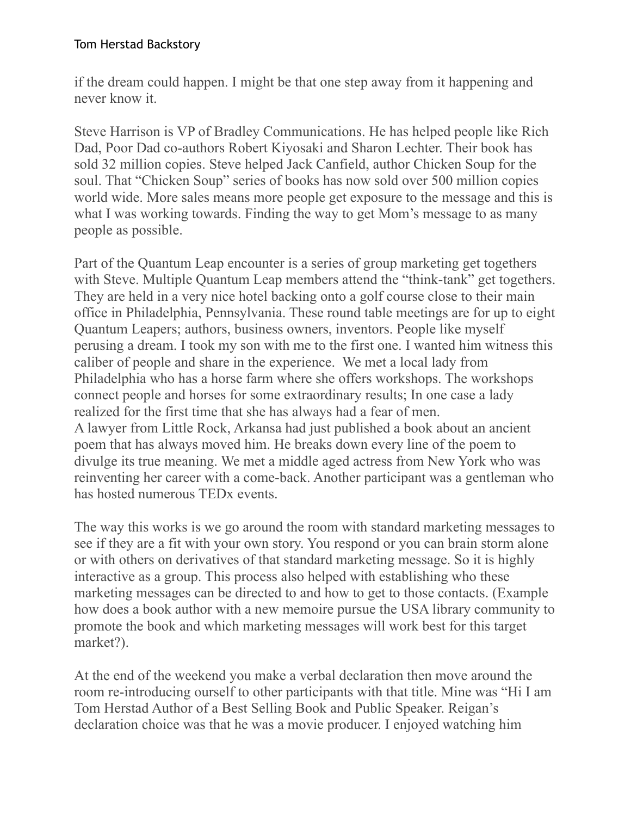if the dream could happen. I might be that one step away from it happening and never know it.

Steve Harrison is VP of Bradley Communications. He has helped people like Rich Dad, Poor Dad co-authors Robert Kiyosaki and Sharon Lechter. Their book has sold 32 million copies. Steve helped Jack Canfield, author Chicken Soup for the soul. That "Chicken Soup" series of books has now sold over 500 million copies world wide. More sales means more people get exposure to the message and this is what I was working towards. Finding the way to get Mom's message to as many people as possible.

Part of the Quantum Leap encounter is a series of group marketing get togethers with Steve. Multiple Quantum Leap members attend the "think-tank" get togethers. They are held in a very nice hotel backing onto a golf course close to their main office in Philadelphia, Pennsylvania. These round table meetings are for up to eight Quantum Leapers; authors, business owners, inventors. People like myself perusing a dream. I took my son with me to the first one. I wanted him witness this caliber of people and share in the experience. We met a local lady from Philadelphia who has a horse farm where she offers workshops. The workshops connect people and horses for some extraordinary results; In one case a lady realized for the first time that she has always had a fear of men. A lawyer from Little Rock, Arkansa had just published a book about an ancient poem that has always moved him. He breaks down every line of the poem to divulge its true meaning. We met a middle aged actress from New York who was reinventing her career with a come-back. Another participant was a gentleman who has hosted numerous TEDx events.

The way this works is we go around the room with standard marketing messages to see if they are a fit with your own story. You respond or you can brain storm alone or with others on derivatives of that standard marketing message. So it is highly interactive as a group. This process also helped with establishing who these marketing messages can be directed to and how to get to those contacts. (Example how does a book author with a new memoire pursue the USA library community to promote the book and which marketing messages will work best for this target market?).

At the end of the weekend you make a verbal declaration then move around the room re-introducing ourself to other participants with that title. Mine was "Hi I am Tom Herstad Author of a Best Selling Book and Public Speaker. Reigan's declaration choice was that he was a movie producer. I enjoyed watching him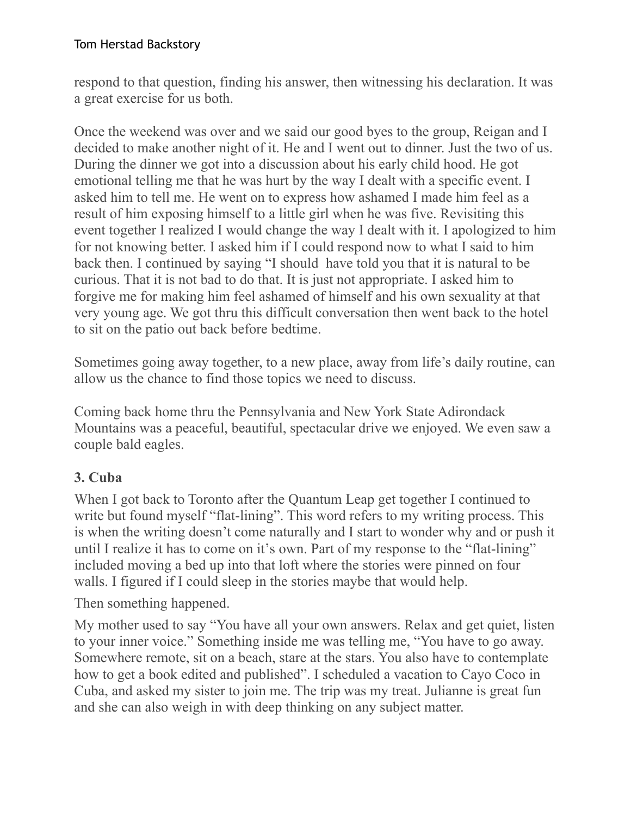respond to that question, finding his answer, then witnessing his declaration. It was a great exercise for us both.

Once the weekend was over and we said our good byes to the group, Reigan and I decided to make another night of it. He and I went out to dinner. Just the two of us. During the dinner we got into a discussion about his early child hood. He got emotional telling me that he was hurt by the way I dealt with a specific event. I asked him to tell me. He went on to express how ashamed I made him feel as a result of him exposing himself to a little girl when he was five. Revisiting this event together I realized I would change the way I dealt with it. I apologized to him for not knowing better. I asked him if I could respond now to what I said to him back then. I continued by saying "I should have told you that it is natural to be curious. That it is not bad to do that. It is just not appropriate. I asked him to forgive me for making him feel ashamed of himself and his own sexuality at that very young age. We got thru this difficult conversation then went back to the hotel to sit on the patio out back before bedtime.

Sometimes going away together, to a new place, away from life's daily routine, can allow us the chance to find those topics we need to discuss.

Coming back home thru the Pennsylvania and New York State Adirondack Mountains was a peaceful, beautiful, spectacular drive we enjoyed. We even saw a couple bald eagles.

# **3. Cuba**

When I got back to Toronto after the Quantum Leap get together I continued to write but found myself "flat-lining". This word refers to my writing process. This is when the writing doesn't come naturally and I start to wonder why and or push it until I realize it has to come on it's own. Part of my response to the "flat-lining" included moving a bed up into that loft where the stories were pinned on four walls. I figured if I could sleep in the stories maybe that would help.

Then something happened.

My mother used to say "You have all your own answers. Relax and get quiet, listen to your inner voice." Something inside me was telling me, "You have to go away. Somewhere remote, sit on a beach, stare at the stars. You also have to contemplate how to get a book edited and published". I scheduled a vacation to Cayo Coco in Cuba, and asked my sister to join me. The trip was my treat. Julianne is great fun and she can also weigh in with deep thinking on any subject matter.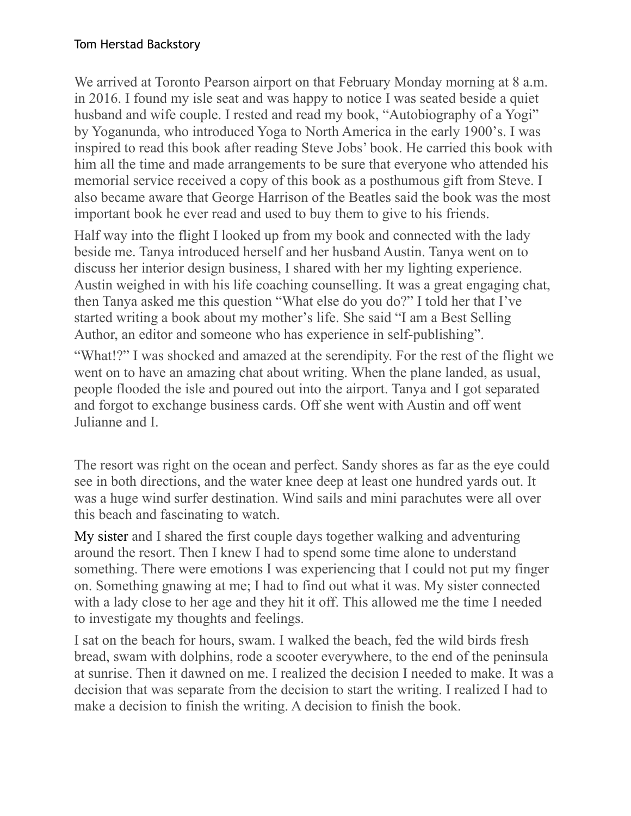We arrived at Toronto Pearson airport on that February Monday morning at 8 a.m. in 2016. I found my isle seat and was happy to notice I was seated beside a quiet husband and wife couple. I rested and read my book, "Autobiography of a Yogi" by Yoganunda, who introduced Yoga to North America in the early 1900's. I was inspired to read this book after reading Steve Jobs' book. He carried this book with him all the time and made arrangements to be sure that everyone who attended his memorial service received a copy of this book as a posthumous gift from Steve. I also became aware that George Harrison of the Beatles said the book was the most important book he ever read and used to buy them to give to his friends.

Half way into the flight I looked up from my book and connected with the lady beside me. Tanya introduced herself and her husband Austin. Tanya went on to discuss her interior design business, I shared with her my lighting experience. Austin weighed in with his life coaching counselling. It was a great engaging chat, then Tanya asked me this question "What else do you do?" I told her that I've started writing a book about my mother's life. She said "I am a Best Selling Author, an editor and someone who has experience in self-publishing".

"What!?" I was shocked and amazed at the serendipity. For the rest of the flight we went on to have an amazing chat about writing. When the plane landed, as usual, people flooded the isle and poured out into the airport. Tanya and I got separated and forgot to exchange business cards. Off she went with Austin and off went Julianne and I.

The resort was right on the ocean and perfect. Sandy shores as far as the eye could see in both directions, and the water knee deep at least one hundred yards out. It was a huge wind surfer destination. Wind sails and mini parachutes were all over this beach and fascinating to watch.

My sister and I shared the first couple days together walking and adventuring around the resort. Then I knew I had to spend some time alone to understand something. There were emotions I was experiencing that I could not put my finger on. Something gnawing at me; I had to find out what it was. My sister connected with a lady close to her age and they hit it off. This allowed me the time I needed to investigate my thoughts and feelings.

I sat on the beach for hours, swam. I walked the beach, fed the wild birds fresh bread, swam with dolphins, rode a scooter everywhere, to the end of the peninsula at sunrise. Then it dawned on me. I realized the decision I needed to make. It was a decision that was separate from the decision to start the writing. I realized I had to make a decision to finish the writing. A decision to finish the book.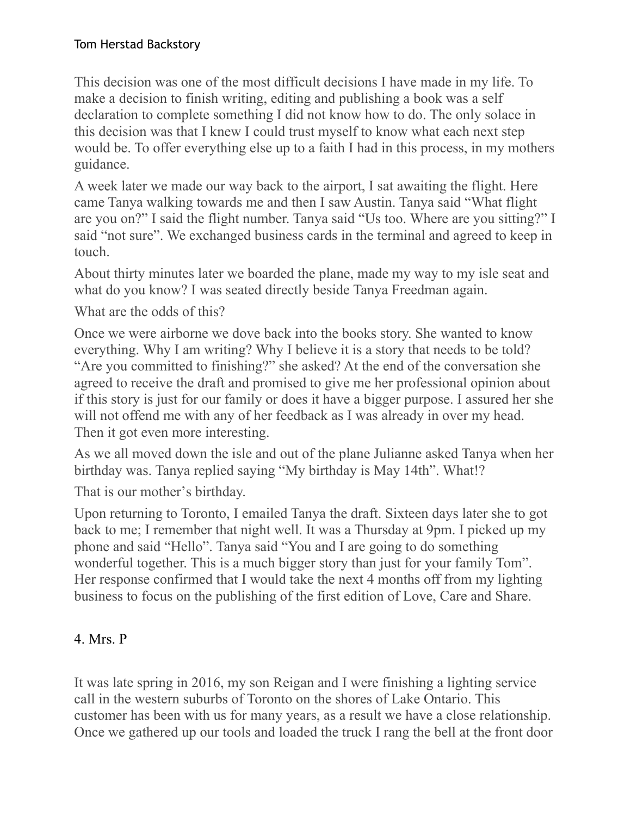This decision was one of the most difficult decisions I have made in my life. To make a decision to finish writing, editing and publishing a book was a self declaration to complete something I did not know how to do. The only solace in this decision was that I knew I could trust myself to know what each next step would be. To offer everything else up to a faith I had in this process, in my mothers guidance.

A week later we made our way back to the airport, I sat awaiting the flight. Here came Tanya walking towards me and then I saw Austin. Tanya said "What flight are you on?" I said the flight number. Tanya said "Us too. Where are you sitting?" I said "not sure". We exchanged business cards in the terminal and agreed to keep in touch.

About thirty minutes later we boarded the plane, made my way to my isle seat and what do you know? I was seated directly beside Tanya Freedman again.

What are the odds of this?

Once we were airborne we dove back into the books story. She wanted to know everything. Why I am writing? Why I believe it is a story that needs to be told? "Are you committed to finishing?" she asked? At the end of the conversation she agreed to receive the draft and promised to give me her professional opinion about if this story is just for our family or does it have a bigger purpose. I assured her she will not offend me with any of her feedback as I was already in over my head. Then it got even more interesting.

As we all moved down the isle and out of the plane Julianne asked Tanya when her birthday was. Tanya replied saying "My birthday is May 14th". What!?

That is our mother's birthday.

Upon returning to Toronto, I emailed Tanya the draft. Sixteen days later she to got back to me; I remember that night well. It was a Thursday at 9pm. I picked up my phone and said "Hello". Tanya said "You and I are going to do something wonderful together. This is a much bigger story than just for your family Tom". Her response confirmed that I would take the next 4 months off from my lighting business to focus on the publishing of the first edition of Love, Care and Share.

### 4. Mrs. P

It was late spring in 2016, my son Reigan and I were finishing a lighting service call in the western suburbs of Toronto on the shores of Lake Ontario. This customer has been with us for many years, as a result we have a close relationship. Once we gathered up our tools and loaded the truck I rang the bell at the front door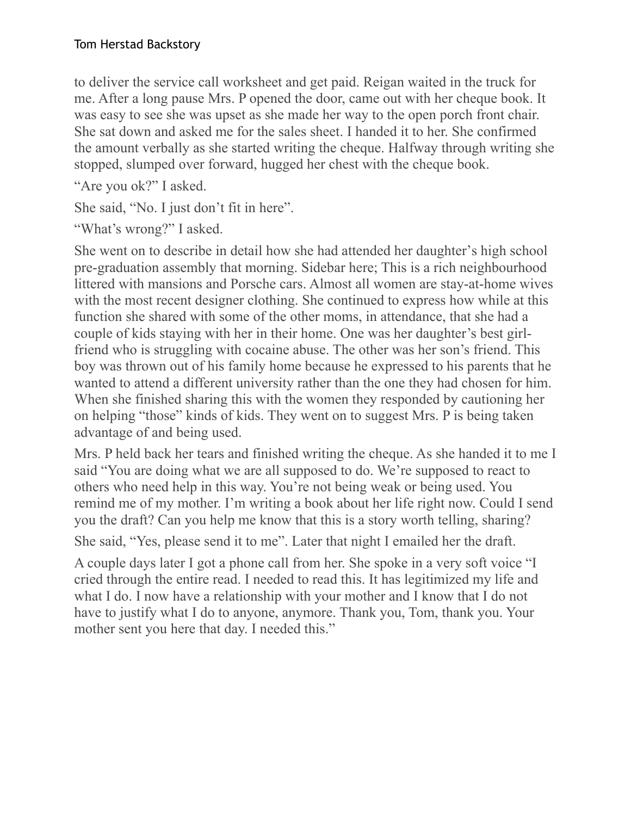to deliver the service call worksheet and get paid. Reigan waited in the truck for me. After a long pause Mrs. P opened the door, came out with her cheque book. It was easy to see she was upset as she made her way to the open porch front chair. She sat down and asked me for the sales sheet. I handed it to her. She confirmed the amount verbally as she started writing the cheque. Halfway through writing she stopped, slumped over forward, hugged her chest with the cheque book.

"Are you ok?" I asked.

She said, "No. I just don't fit in here".

"What's wrong?" I asked.

She went on to describe in detail how she had attended her daughter's high school pre-graduation assembly that morning. Sidebar here; This is a rich neighbourhood littered with mansions and Porsche cars. Almost all women are stay-at-home wives with the most recent designer clothing. She continued to express how while at this function she shared with some of the other moms, in attendance, that she had a couple of kids staying with her in their home. One was her daughter's best girlfriend who is struggling with cocaine abuse. The other was her son's friend. This boy was thrown out of his family home because he expressed to his parents that he wanted to attend a different university rather than the one they had chosen for him. When she finished sharing this with the women they responded by cautioning her on helping "those" kinds of kids. They went on to suggest Mrs. P is being taken advantage of and being used.

Mrs. P held back her tears and finished writing the cheque. As she handed it to me I said "You are doing what we are all supposed to do. We're supposed to react to others who need help in this way. You're not being weak or being used. You remind me of my mother. I'm writing a book about her life right now. Could I send you the draft? Can you help me know that this is a story worth telling, sharing?

She said, "Yes, please send it to me". Later that night I emailed her the draft.

A couple days later I got a phone call from her. She spoke in a very soft voice "I cried through the entire read. I needed to read this. It has legitimized my life and what I do. I now have a relationship with your mother and I know that I do not have to justify what I do to anyone, anymore. Thank you, Tom, thank you. Your mother sent you here that day. I needed this."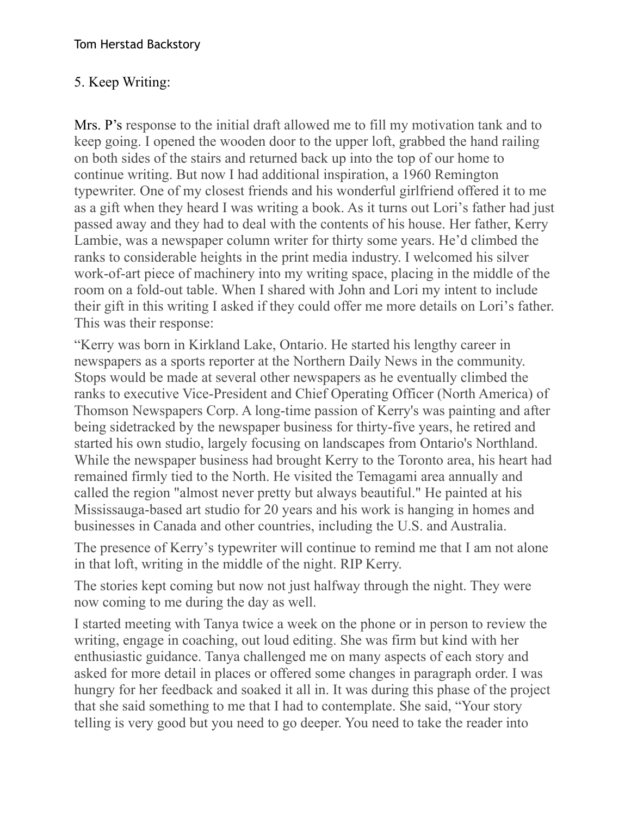## 5. Keep Writing:

Mrs. P's response to the initial draft allowed me to fill my motivation tank and to keep going. I opened the wooden door to the upper loft, grabbed the hand railing on both sides of the stairs and returned back up into the top of our home to continue writing. But now I had additional inspiration, a 1960 Remington typewriter. One of my closest friends and his wonderful girlfriend offered it to me as a gift when they heard I was writing a book. As it turns out Lori's father had just passed away and they had to deal with the contents of his house. Her father, Kerry Lambie, was a newspaper column writer for thirty some years. He'd climbed the ranks to considerable heights in the print media industry. I welcomed his silver work-of-art piece of machinery into my writing space, placing in the middle of the room on a fold-out table. When I shared with John and Lori my intent to include their gift in this writing I asked if they could offer me more details on Lori's father. This was their response:

"Kerry was born in Kirkland Lake, Ontario. He started his lengthy career in newspapers as a sports reporter at the Northern Daily News in the community. Stops would be made at several other newspapers as he eventually climbed the ranks to executive Vice-President and Chief Operating Officer (North America) of Thomson Newspapers Corp. A long-time passion of Kerry's was painting and after being sidetracked by the newspaper business for thirty-five years, he retired and started his own studio, largely focusing on landscapes from Ontario's Northland. While the newspaper business had brought Kerry to the Toronto area, his heart had remained firmly tied to the North. He visited the Temagami area annually and called the region "almost never pretty but always beautiful." He painted at his Mississauga-based art studio for 20 years and his work is hanging in homes and businesses in Canada and other countries, including the U.S. and Australia.

The presence of Kerry's typewriter will continue to remind me that I am not alone in that loft, writing in the middle of the night. RIP Kerry.

The stories kept coming but now not just halfway through the night. They were now coming to me during the day as well.

I started meeting with Tanya twice a week on the phone or in person to review the writing, engage in coaching, out loud editing. She was firm but kind with her enthusiastic guidance. Tanya challenged me on many aspects of each story and asked for more detail in places or offered some changes in paragraph order. I was hungry for her feedback and soaked it all in. It was during this phase of the project that she said something to me that I had to contemplate. She said, "Your story telling is very good but you need to go deeper. You need to take the reader into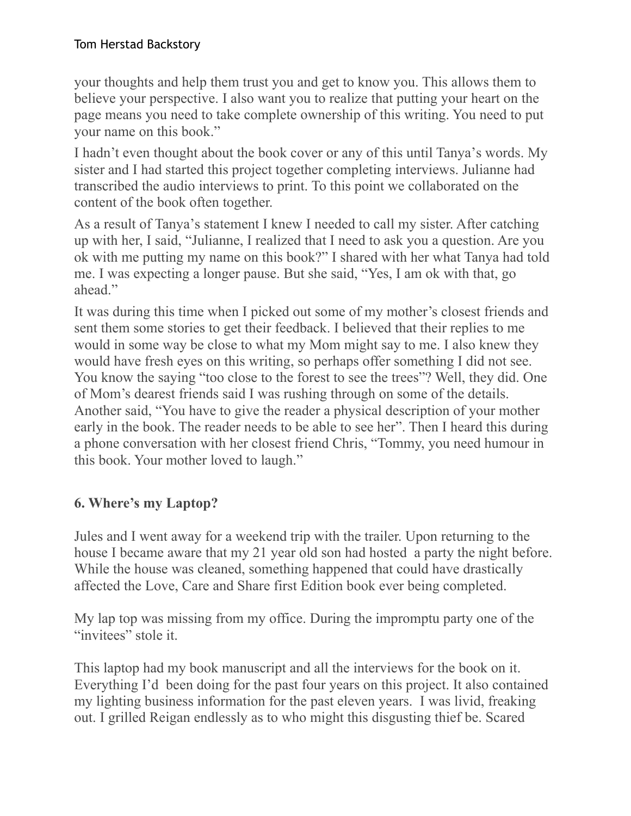your thoughts and help them trust you and get to know you. This allows them to believe your perspective. I also want you to realize that putting your heart on the page means you need to take complete ownership of this writing. You need to put your name on this book."

I hadn't even thought about the book cover or any of this until Tanya's words. My sister and I had started this project together completing interviews. Julianne had transcribed the audio interviews to print. To this point we collaborated on the content of the book often together.

As a result of Tanya's statement I knew I needed to call my sister. After catching up with her, I said, "Julianne, I realized that I need to ask you a question. Are you ok with me putting my name on this book?" I shared with her what Tanya had told me. I was expecting a longer pause. But she said, "Yes, I am ok with that, go ahead."

It was during this time when I picked out some of my mother's closest friends and sent them some stories to get their feedback. I believed that their replies to me would in some way be close to what my Mom might say to me. I also knew they would have fresh eyes on this writing, so perhaps offer something I did not see. You know the saying "too close to the forest to see the trees"? Well, they did. One of Mom's dearest friends said I was rushing through on some of the details. Another said, "You have to give the reader a physical description of your mother early in the book. The reader needs to be able to see her". Then I heard this during a phone conversation with her closest friend Chris, "Tommy, you need humour in this book. Your mother loved to laugh."

# **6. Where's my Laptop?**

Jules and I went away for a weekend trip with the trailer. Upon returning to the house I became aware that my 21 year old son had hosted a party the night before. While the house was cleaned, something happened that could have drastically affected the Love, Care and Share first Edition book ever being completed.

My lap top was missing from my office. During the impromptu party one of the "invitees" stole it.

This laptop had my book manuscript and all the interviews for the book on it. Everything I'd been doing for the past four years on this project. It also contained my lighting business information for the past eleven years. I was livid, freaking out. I grilled Reigan endlessly as to who might this disgusting thief be. Scared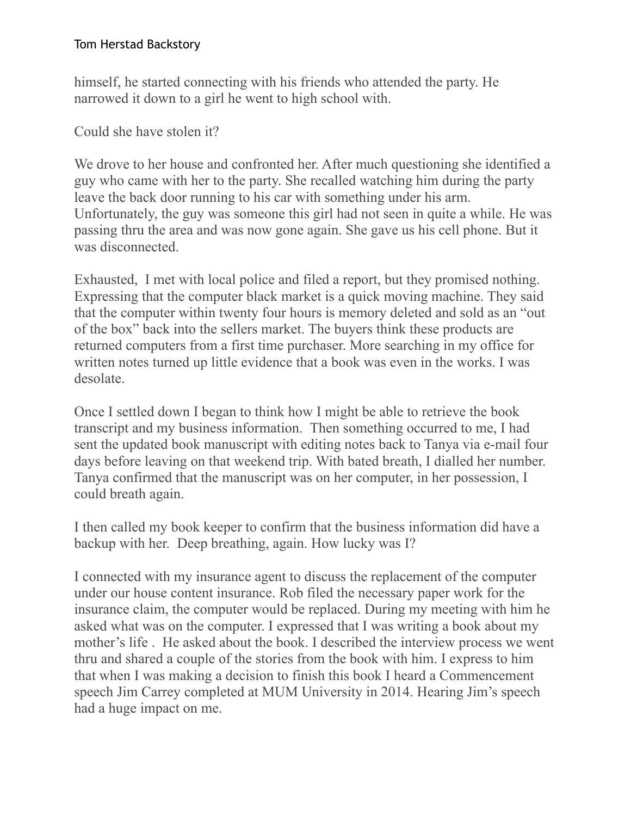himself, he started connecting with his friends who attended the party. He narrowed it down to a girl he went to high school with.

Could she have stolen it?

We drove to her house and confronted her. After much questioning she identified a guy who came with her to the party. She recalled watching him during the party leave the back door running to his car with something under his arm. Unfortunately, the guy was someone this girl had not seen in quite a while. He was passing thru the area and was now gone again. She gave us his cell phone. But it was disconnected.

Exhausted, I met with local police and filed a report, but they promised nothing. Expressing that the computer black market is a quick moving machine. They said that the computer within twenty four hours is memory deleted and sold as an "out of the box" back into the sellers market. The buyers think these products are returned computers from a first time purchaser. More searching in my office for written notes turned up little evidence that a book was even in the works. I was desolate.

Once I settled down I began to think how I might be able to retrieve the book transcript and my business information. Then something occurred to me, I had sent the updated book manuscript with editing notes back to Tanya via e-mail four days before leaving on that weekend trip. With bated breath, I dialled her number. Tanya confirmed that the manuscript was on her computer, in her possession, I could breath again.

I then called my book keeper to confirm that the business information did have a backup with her. Deep breathing, again. How lucky was I?

I connected with my insurance agent to discuss the replacement of the computer under our house content insurance. Rob filed the necessary paper work for the insurance claim, the computer would be replaced. During my meeting with him he asked what was on the computer. I expressed that I was writing a book about my mother's life . He asked about the book. I described the interview process we went thru and shared a couple of the stories from the book with him. I express to him that when I was making a decision to finish this book I heard a Commencement speech Jim Carrey completed at MUM University in 2014. Hearing Jim's speech had a huge impact on me.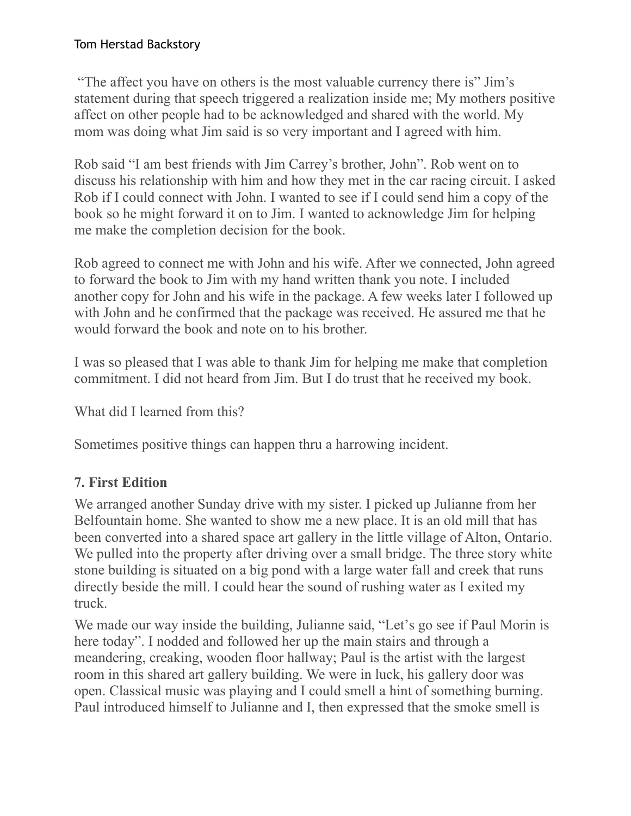"The affect you have on others is the most valuable currency there is" Jim's statement during that speech triggered a realization inside me; My mothers positive affect on other people had to be acknowledged and shared with the world. My mom was doing what Jim said is so very important and I agreed with him.

Rob said "I am best friends with Jim Carrey's brother, John". Rob went on to discuss his relationship with him and how they met in the car racing circuit. I asked Rob if I could connect with John. I wanted to see if I could send him a copy of the book so he might forward it on to Jim. I wanted to acknowledge Jim for helping me make the completion decision for the book.

Rob agreed to connect me with John and his wife. After we connected, John agreed to forward the book to Jim with my hand written thank you note. I included another copy for John and his wife in the package. A few weeks later I followed up with John and he confirmed that the package was received. He assured me that he would forward the book and note on to his brother.

I was so pleased that I was able to thank Jim for helping me make that completion commitment. I did not heard from Jim. But I do trust that he received my book.

What did I learned from this?

Sometimes positive things can happen thru a harrowing incident.

# **7. First Edition**

We arranged another Sunday drive with my sister. I picked up Julianne from her Belfountain home. She wanted to show me a new place. It is an old mill that has been converted into a shared space art gallery in the little village of Alton, Ontario. We pulled into the property after driving over a small bridge. The three story white stone building is situated on a big pond with a large water fall and creek that runs directly beside the mill. I could hear the sound of rushing water as I exited my truck.

We made our way inside the building, Julianne said, "Let's go see if Paul Morin is here today". I nodded and followed her up the main stairs and through a meandering, creaking, wooden floor hallway; Paul is the artist with the largest room in this shared art gallery building. We were in luck, his gallery door was open. Classical music was playing and I could smell a hint of something burning. Paul introduced himself to Julianne and I, then expressed that the smoke smell is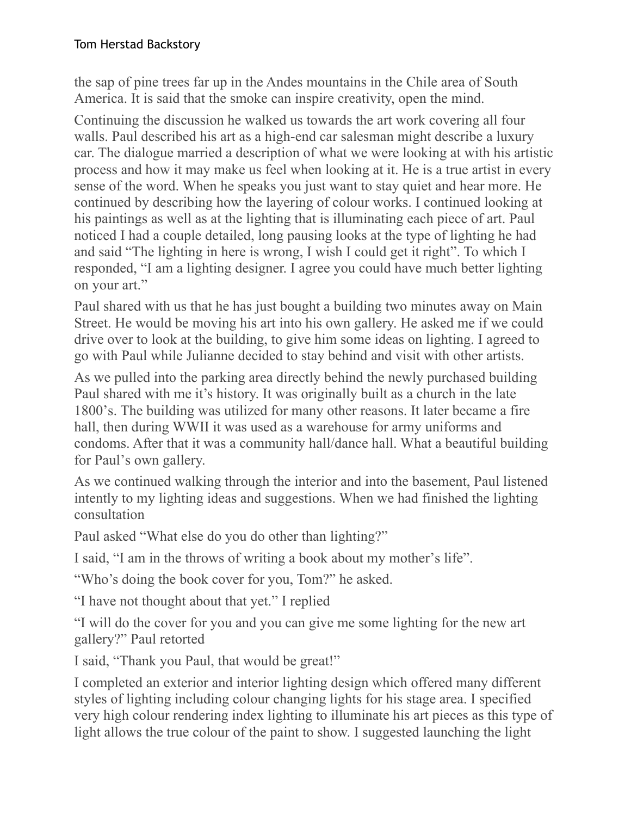the sap of pine trees far up in the Andes mountains in the Chile area of South America. It is said that the smoke can inspire creativity, open the mind.

Continuing the discussion he walked us towards the art work covering all four walls. Paul described his art as a high-end car salesman might describe a luxury car. The dialogue married a description of what we were looking at with his artistic process and how it may make us feel when looking at it. He is a true artist in every sense of the word. When he speaks you just want to stay quiet and hear more. He continued by describing how the layering of colour works. I continued looking at his paintings as well as at the lighting that is illuminating each piece of art. Paul noticed I had a couple detailed, long pausing looks at the type of lighting he had and said "The lighting in here is wrong, I wish I could get it right". To which I responded, "I am a lighting designer. I agree you could have much better lighting on your art."

Paul shared with us that he has just bought a building two minutes away on Main Street. He would be moving his art into his own gallery. He asked me if we could drive over to look at the building, to give him some ideas on lighting. I agreed to go with Paul while Julianne decided to stay behind and visit with other artists.

As we pulled into the parking area directly behind the newly purchased building Paul shared with me it's history. It was originally built as a church in the late 1800's. The building was utilized for many other reasons. It later became a fire hall, then during WWII it was used as a warehouse for army uniforms and condoms. After that it was a community hall/dance hall. What a beautiful building for Paul's own gallery.

As we continued walking through the interior and into the basement, Paul listened intently to my lighting ideas and suggestions. When we had finished the lighting consultation

Paul asked "What else do you do other than lighting?"

I said, "I am in the throws of writing a book about my mother's life".

"Who's doing the book cover for you, Tom?" he asked.

"I have not thought about that yet." I replied

"I will do the cover for you and you can give me some lighting for the new art gallery?" Paul retorted

I said, "Thank you Paul, that would be great!"

I completed an exterior and interior lighting design which offered many different styles of lighting including colour changing lights for his stage area. I specified very high colour rendering index lighting to illuminate his art pieces as this type of light allows the true colour of the paint to show. I suggested launching the light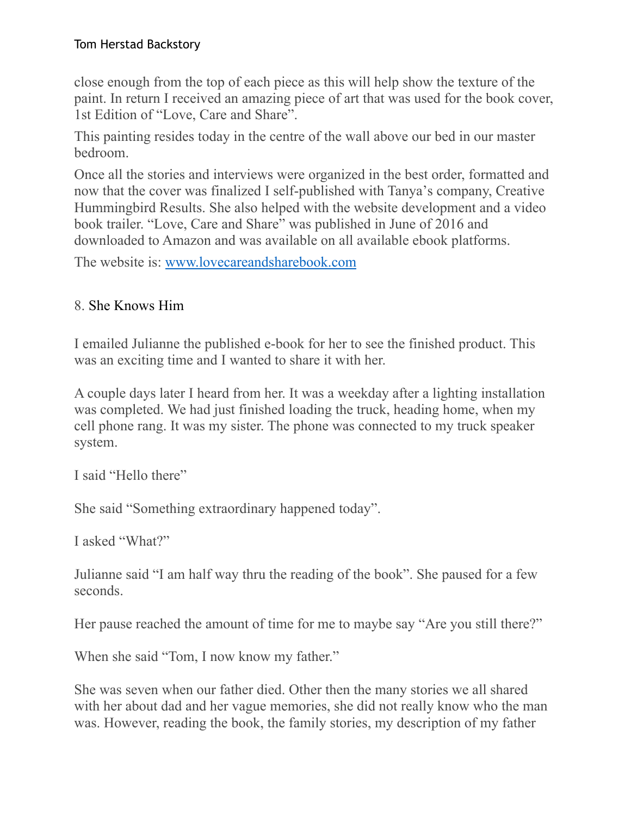close enough from the top of each piece as this will help show the texture of the paint. In return I received an amazing piece of art that was used for the book cover, 1st Edition of "Love, Care and Share".

This painting resides today in the centre of the wall above our bed in our master bedroom.

Once all the stories and interviews were organized in the best order, formatted and now that the cover was finalized I self-published with Tanya's company, Creative Hummingbird Results. She also helped with the website development and a video book trailer. "Love, Care and Share" was published in June of 2016 and downloaded to Amazon and was available on all available ebook platforms.

The website is: [www.lovecareandsharebook.com](http://www.lovecareandsharebook.com)

## 8. She Knows Him

I emailed Julianne the published e-book for her to see the finished product. This was an exciting time and I wanted to share it with her.

A couple days later I heard from her. It was a weekday after a lighting installation was completed. We had just finished loading the truck, heading home, when my cell phone rang. It was my sister. The phone was connected to my truck speaker system.

I said "Hello there"

She said "Something extraordinary happened today".

I asked "What?"

Julianne said "I am half way thru the reading of the book". She paused for a few seconds.

Her pause reached the amount of time for me to maybe say "Are you still there?"

When she said "Tom, I now know my father."

She was seven when our father died. Other then the many stories we all shared with her about dad and her vague memories, she did not really know who the man was. However, reading the book, the family stories, my description of my father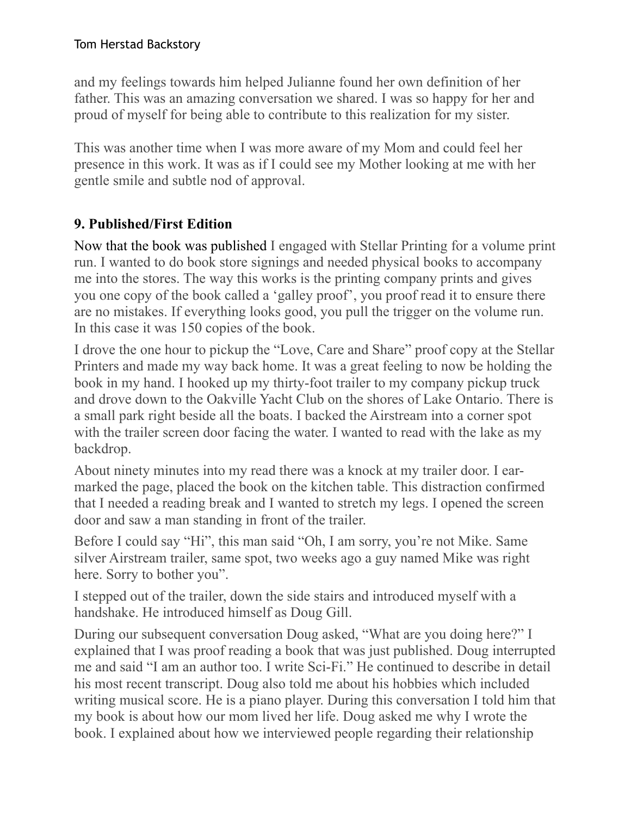and my feelings towards him helped Julianne found her own definition of her father. This was an amazing conversation we shared. I was so happy for her and proud of myself for being able to contribute to this realization for my sister.

This was another time when I was more aware of my Mom and could feel her presence in this work. It was as if I could see my Mother looking at me with her gentle smile and subtle nod of approval.

# **9. Published/First Edition**

Now that the book was published I engaged with Stellar Printing for a volume print run. I wanted to do book store signings and needed physical books to accompany me into the stores. The way this works is the printing company prints and gives you one copy of the book called a 'galley proof', you proof read it to ensure there are no mistakes. If everything looks good, you pull the trigger on the volume run. In this case it was 150 copies of the book.

I drove the one hour to pickup the "Love, Care and Share" proof copy at the Stellar Printers and made my way back home. It was a great feeling to now be holding the book in my hand. I hooked up my thirty-foot trailer to my company pickup truck and drove down to the Oakville Yacht Club on the shores of Lake Ontario. There is a small park right beside all the boats. I backed the Airstream into a corner spot with the trailer screen door facing the water. I wanted to read with the lake as my backdrop.

About ninety minutes into my read there was a knock at my trailer door. I earmarked the page, placed the book on the kitchen table. This distraction confirmed that I needed a reading break and I wanted to stretch my legs. I opened the screen door and saw a man standing in front of the trailer.

Before I could say "Hi", this man said "Oh, I am sorry, you're not Mike. Same silver Airstream trailer, same spot, two weeks ago a guy named Mike was right here. Sorry to bother you".

I stepped out of the trailer, down the side stairs and introduced myself with a handshake. He introduced himself as Doug Gill.

During our subsequent conversation Doug asked, "What are you doing here?" I explained that I was proof reading a book that was just published. Doug interrupted me and said "I am an author too. I write Sci-Fi." He continued to describe in detail his most recent transcript. Doug also told me about his hobbies which included writing musical score. He is a piano player. During this conversation I told him that my book is about how our mom lived her life. Doug asked me why I wrote the book. I explained about how we interviewed people regarding their relationship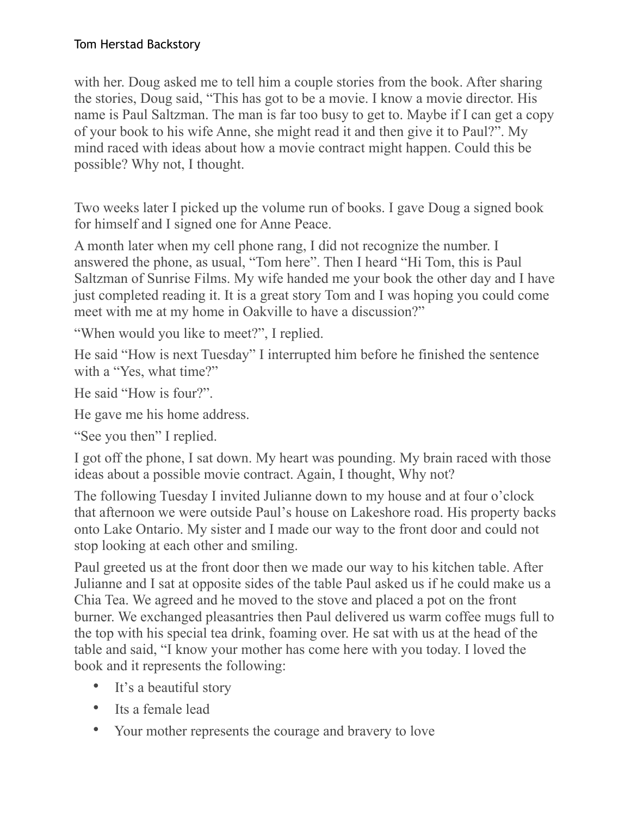with her. Doug asked me to tell him a couple stories from the book. After sharing the stories, Doug said, "This has got to be a movie. I know a movie director. His name is Paul Saltzman. The man is far too busy to get to. Maybe if I can get a copy of your book to his wife Anne, she might read it and then give it to Paul?". My mind raced with ideas about how a movie contract might happen. Could this be possible? Why not, I thought.

Two weeks later I picked up the volume run of books. I gave Doug a signed book for himself and I signed one for Anne Peace.

A month later when my cell phone rang, I did not recognize the number. I answered the phone, as usual, "Tom here". Then I heard "Hi Tom, this is Paul Saltzman of Sunrise Films. My wife handed me your book the other day and I have just completed reading it. It is a great story Tom and I was hoping you could come meet with me at my home in Oakville to have a discussion?"

"When would you like to meet?", I replied.

He said "How is next Tuesday" I interrupted him before he finished the sentence with a "Yes, what time?"

He said "How is four?".

He gave me his home address.

"See you then" I replied.

I got off the phone, I sat down. My heart was pounding. My brain raced with those ideas about a possible movie contract. Again, I thought, Why not?

The following Tuesday I invited Julianne down to my house and at four o'clock that afternoon we were outside Paul's house on Lakeshore road. His property backs onto Lake Ontario. My sister and I made our way to the front door and could not stop looking at each other and smiling.

Paul greeted us at the front door then we made our way to his kitchen table. After Julianne and I sat at opposite sides of the table Paul asked us if he could make us a Chia Tea. We agreed and he moved to the stove and placed a pot on the front burner. We exchanged pleasantries then Paul delivered us warm coffee mugs full to the top with his special tea drink, foaming over. He sat with us at the head of the table and said, "I know your mother has come here with you today. I loved the book and it represents the following:

- It's a beautiful story
- Its a female lead
- Your mother represents the courage and bravery to love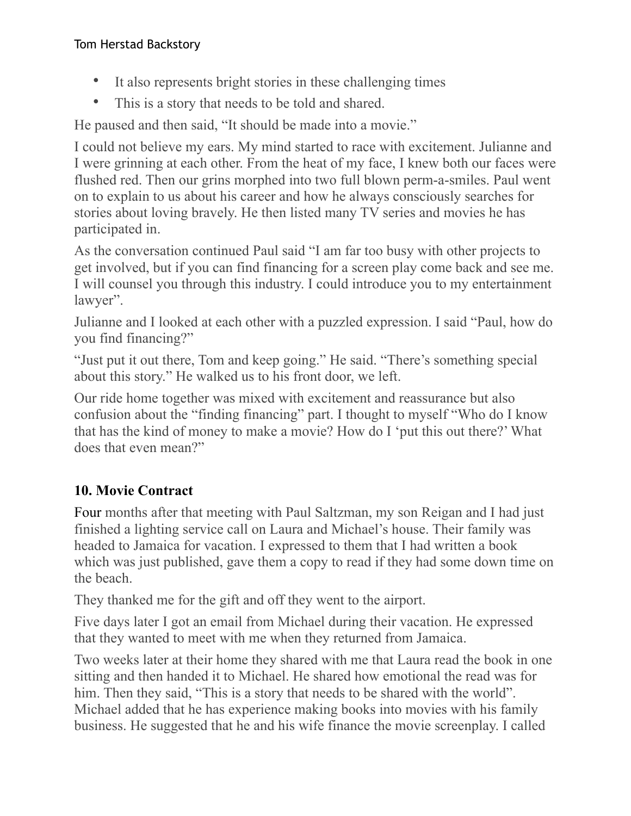- It also represents bright stories in these challenging times
- This is a story that needs to be told and shared.

He paused and then said, "It should be made into a movie."

I could not believe my ears. My mind started to race with excitement. Julianne and I were grinning at each other. From the heat of my face, I knew both our faces were flushed red. Then our grins morphed into two full blown perm-a-smiles. Paul went on to explain to us about his career and how he always consciously searches for stories about loving bravely. He then listed many TV series and movies he has participated in.

As the conversation continued Paul said "I am far too busy with other projects to get involved, but if you can find financing for a screen play come back and see me. I will counsel you through this industry. I could introduce you to my entertainment lawyer".

Julianne and I looked at each other with a puzzled expression. I said "Paul, how do you find financing?"

"Just put it out there, Tom and keep going." He said. "There's something special about this story." He walked us to his front door, we left.

Our ride home together was mixed with excitement and reassurance but also confusion about the "finding financing" part. I thought to myself "Who do I know that has the kind of money to make a movie? How do I 'put this out there?' What does that even mean?"

# **10. Movie Contract**

Four months after that meeting with Paul Saltzman, my son Reigan and I had just finished a lighting service call on Laura and Michael's house. Their family was headed to Jamaica for vacation. I expressed to them that I had written a book which was just published, gave them a copy to read if they had some down time on the beach.

They thanked me for the gift and off they went to the airport.

Five days later I got an email from Michael during their vacation. He expressed that they wanted to meet with me when they returned from Jamaica.

Two weeks later at their home they shared with me that Laura read the book in one sitting and then handed it to Michael. He shared how emotional the read was for him. Then they said, "This is a story that needs to be shared with the world". Michael added that he has experience making books into movies with his family business. He suggested that he and his wife finance the movie screenplay. I called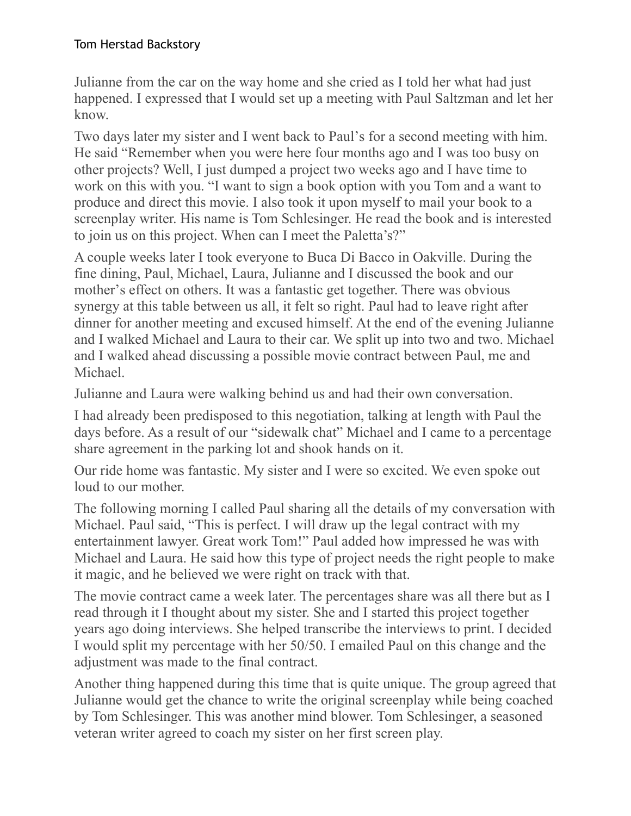Julianne from the car on the way home and she cried as I told her what had just happened. I expressed that I would set up a meeting with Paul Saltzman and let her know.

Two days later my sister and I went back to Paul's for a second meeting with him. He said "Remember when you were here four months ago and I was too busy on other projects? Well, I just dumped a project two weeks ago and I have time to work on this with you. "I want to sign a book option with you Tom and a want to produce and direct this movie. I also took it upon myself to mail your book to a screenplay writer. His name is Tom Schlesinger. He read the book and is interested to join us on this project. When can I meet the Paletta's?"

A couple weeks later I took everyone to Buca Di Bacco in Oakville. During the fine dining, Paul, Michael, Laura, Julianne and I discussed the book and our mother's effect on others. It was a fantastic get together. There was obvious synergy at this table between us all, it felt so right. Paul had to leave right after dinner for another meeting and excused himself. At the end of the evening Julianne and I walked Michael and Laura to their car. We split up into two and two. Michael and I walked ahead discussing a possible movie contract between Paul, me and Michael.

Julianne and Laura were walking behind us and had their own conversation.

I had already been predisposed to this negotiation, talking at length with Paul the days before. As a result of our "sidewalk chat" Michael and I came to a percentage share agreement in the parking lot and shook hands on it.

Our ride home was fantastic. My sister and I were so excited. We even spoke out loud to our mother.

The following morning I called Paul sharing all the details of my conversation with Michael. Paul said, "This is perfect. I will draw up the legal contract with my entertainment lawyer. Great work Tom!" Paul added how impressed he was with Michael and Laura. He said how this type of project needs the right people to make it magic, and he believed we were right on track with that.

The movie contract came a week later. The percentages share was all there but as I read through it I thought about my sister. She and I started this project together years ago doing interviews. She helped transcribe the interviews to print. I decided I would split my percentage with her 50/50. I emailed Paul on this change and the adjustment was made to the final contract.

Another thing happened during this time that is quite unique. The group agreed that Julianne would get the chance to write the original screenplay while being coached by Tom Schlesinger. This was another mind blower. Tom Schlesinger, a seasoned veteran writer agreed to coach my sister on her first screen play.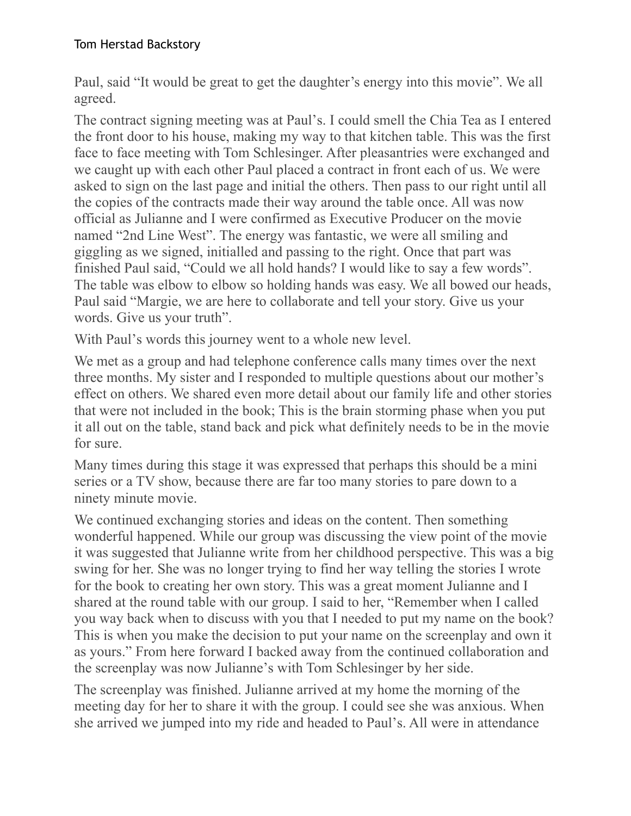Paul, said "It would be great to get the daughter's energy into this movie". We all agreed.

The contract signing meeting was at Paul's. I could smell the Chia Tea as I entered the front door to his house, making my way to that kitchen table. This was the first face to face meeting with Tom Schlesinger. After pleasantries were exchanged and we caught up with each other Paul placed a contract in front each of us. We were asked to sign on the last page and initial the others. Then pass to our right until all the copies of the contracts made their way around the table once. All was now official as Julianne and I were confirmed as Executive Producer on the movie named "2nd Line West". The energy was fantastic, we were all smiling and giggling as we signed, initialled and passing to the right. Once that part was finished Paul said, "Could we all hold hands? I would like to say a few words". The table was elbow to elbow so holding hands was easy. We all bowed our heads, Paul said "Margie, we are here to collaborate and tell your story. Give us your words. Give us your truth".

With Paul's words this journey went to a whole new level.

We met as a group and had telephone conference calls many times over the next three months. My sister and I responded to multiple questions about our mother's effect on others. We shared even more detail about our family life and other stories that were not included in the book; This is the brain storming phase when you put it all out on the table, stand back and pick what definitely needs to be in the movie for sure.

Many times during this stage it was expressed that perhaps this should be a mini series or a TV show, because there are far too many stories to pare down to a ninety minute movie.

We continued exchanging stories and ideas on the content. Then something wonderful happened. While our group was discussing the view point of the movie it was suggested that Julianne write from her childhood perspective. This was a big swing for her. She was no longer trying to find her way telling the stories I wrote for the book to creating her own story. This was a great moment Julianne and I shared at the round table with our group. I said to her, "Remember when I called you way back when to discuss with you that I needed to put my name on the book? This is when you make the decision to put your name on the screenplay and own it as yours." From here forward I backed away from the continued collaboration and the screenplay was now Julianne's with Tom Schlesinger by her side.

The screenplay was finished. Julianne arrived at my home the morning of the meeting day for her to share it with the group. I could see she was anxious. When she arrived we jumped into my ride and headed to Paul's. All were in attendance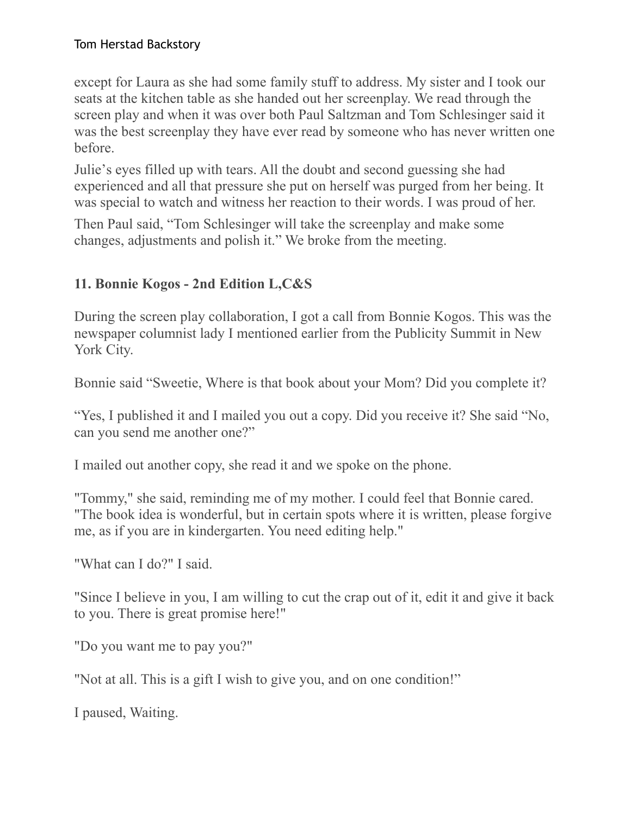except for Laura as she had some family stuff to address. My sister and I took our seats at the kitchen table as she handed out her screenplay. We read through the screen play and when it was over both Paul Saltzman and Tom Schlesinger said it was the best screenplay they have ever read by someone who has never written one before.

Julie's eyes filled up with tears. All the doubt and second guessing she had experienced and all that pressure she put on herself was purged from her being. It was special to watch and witness her reaction to their words. I was proud of her.

Then Paul said, "Tom Schlesinger will take the screenplay and make some changes, adjustments and polish it." We broke from the meeting.

# **11. Bonnie Kogos - 2nd Edition L,C&S**

During the screen play collaboration, I got a call from Bonnie Kogos. This was the newspaper columnist lady I mentioned earlier from the Publicity Summit in New York City.

Bonnie said "Sweetie, Where is that book about your Mom? Did you complete it?

"Yes, I published it and I mailed you out a copy. Did you receive it? She said "No, can you send me another one?"

I mailed out another copy, she read it and we spoke on the phone.

"Tommy," she said, reminding me of my mother. I could feel that Bonnie cared. "The book idea is wonderful, but in certain spots where it is written, please forgive me, as if you are in kindergarten. You need editing help."

"What can I do?" I said.

"Since I believe in you, I am willing to cut the crap out of it, edit it and give it back to you. There is great promise here!"

"Do you want me to pay you?"

"Not at all. This is a gift I wish to give you, and on one condition!"

I paused, Waiting.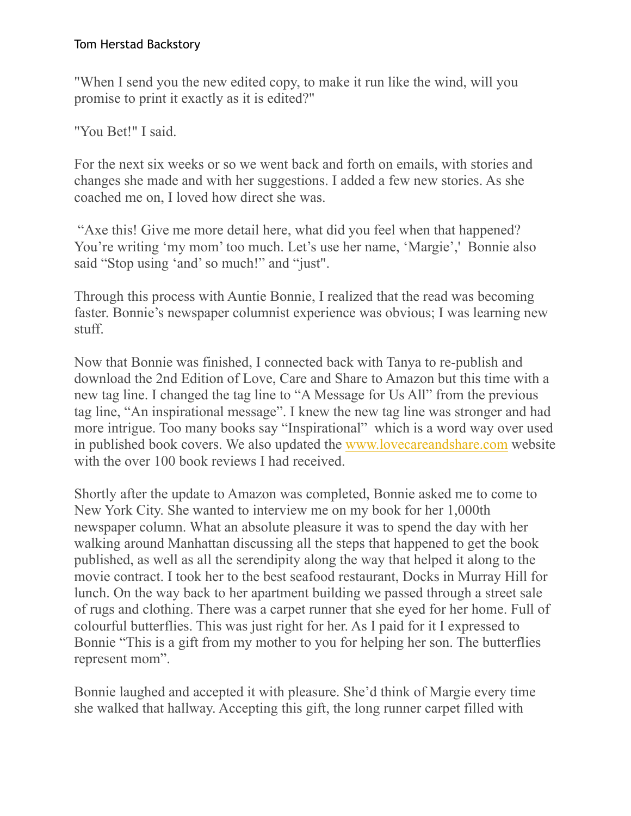"When I send you the new edited copy, to make it run like the wind, will you promise to print it exactly as it is edited?"

"You Bet!" I said.

For the next six weeks or so we went back and forth on emails, with stories and changes she made and with her suggestions. I added a few new stories. As she coached me on, I loved how direct she was.

 "Axe this! Give me more detail here, what did you feel when that happened? You're writing 'my mom' too much. Let's use her name, 'Margie',' Bonnie also said "Stop using 'and' so much!" and "just".

Through this process with Auntie Bonnie, I realized that the read was becoming faster. Bonnie's newspaper columnist experience was obvious; I was learning new stuff.

Now that Bonnie was finished, I connected back with Tanya to re-publish and download the 2nd Edition of Love, Care and Share to Amazon but this time with a new tag line. I changed the tag line to "A Message for Us All" from the previous tag line, "An inspirational message". I knew the new tag line was stronger and had more intrigue. Too many books say "Inspirational" which is a word way over used in published book covers. We also updated the [www.lovecareandshare.com](http://www.lovecareandshare.com/) website with the over 100 book reviews I had received.

Shortly after the update to Amazon was completed, Bonnie asked me to come to New York City. She wanted to interview me on my book for her 1,000th newspaper column. What an absolute pleasure it was to spend the day with her walking around Manhattan discussing all the steps that happened to get the book published, as well as all the serendipity along the way that helped it along to the movie contract. I took her to the best seafood restaurant, Docks in Murray Hill for lunch. On the way back to her apartment building we passed through a street sale of rugs and clothing. There was a carpet runner that she eyed for her home. Full of colourful butterflies. This was just right for her. As I paid for it I expressed to Bonnie "This is a gift from my mother to you for helping her son. The butterflies represent mom".

Bonnie laughed and accepted it with pleasure. She'd think of Margie every time she walked that hallway. Accepting this gift, the long runner carpet filled with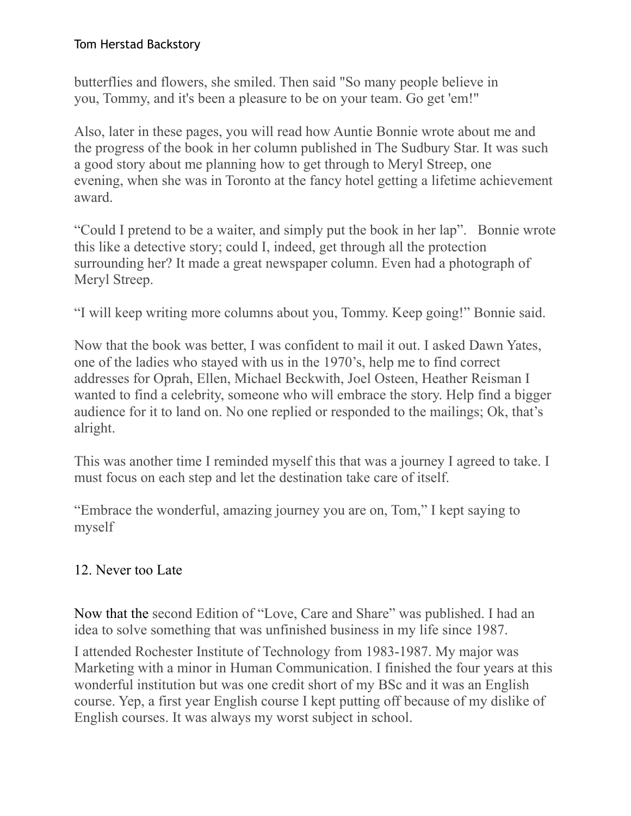butterflies and flowers, she smiled. Then said "So many people believe in you, Tommy, and it's been a pleasure to be on your team. Go get 'em!"

Also, later in these pages, you will read how Auntie Bonnie wrote about me and the progress of the book in her column published in The Sudbury Star. It was such a good story about me planning how to get through to Meryl Streep, one evening, when she was in Toronto at the fancy hotel getting a lifetime achievement award.

"Could I pretend to be a waiter, and simply put the book in her lap". Bonnie wrote this like a detective story; could I, indeed, get through all the protection surrounding her? It made a great newspaper column. Even had a photograph of Meryl Streep.

"I will keep writing more columns about you, Tommy. Keep going!" Bonnie said.

Now that the book was better, I was confident to mail it out. I asked Dawn Yates, one of the ladies who stayed with us in the 1970's, help me to find correct addresses for Oprah, Ellen, Michael Beckwith, Joel Osteen, Heather Reisman I wanted to find a celebrity, someone who will embrace the story. Help find a bigger audience for it to land on. No one replied or responded to the mailings; Ok, that's alright.

This was another time I reminded myself this that was a journey I agreed to take. I must focus on each step and let the destination take care of itself.

"Embrace the wonderful, amazing journey you are on, Tom," I kept saying to myself

# 12. Never too Late

Now that the second Edition of "Love, Care and Share" was published. I had an idea to solve something that was unfinished business in my life since 1987.

I attended Rochester Institute of Technology from 1983-1987. My major was Marketing with a minor in Human Communication. I finished the four years at this wonderful institution but was one credit short of my BSc and it was an English course. Yep, a first year English course I kept putting off because of my dislike of English courses. It was always my worst subject in school.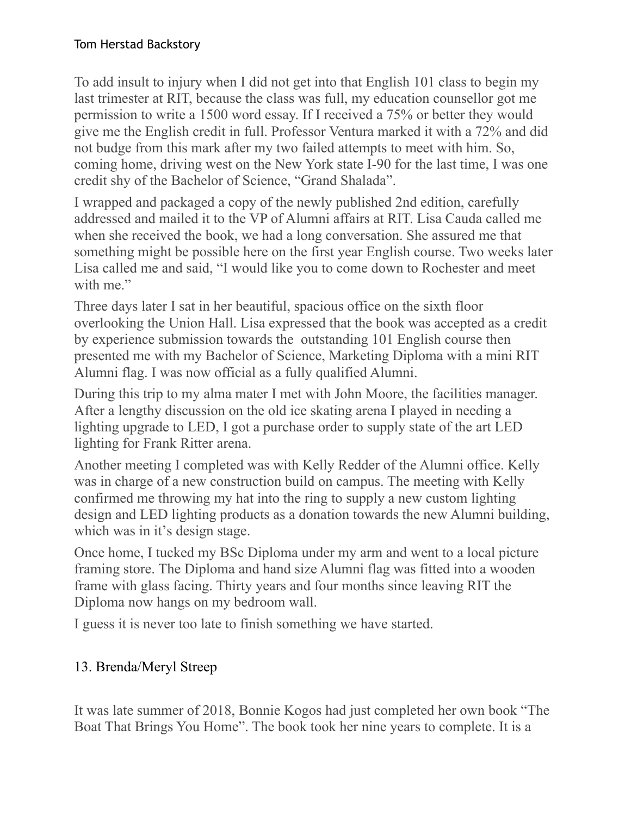To add insult to injury when I did not get into that English 101 class to begin my last trimester at RIT, because the class was full, my education counsellor got me permission to write a 1500 word essay. If I received a 75% or better they would give me the English credit in full. Professor Ventura marked it with a 72% and did not budge from this mark after my two failed attempts to meet with him. So, coming home, driving west on the New York state I-90 for the last time, I was one credit shy of the Bachelor of Science, "Grand Shalada".

I wrapped and packaged a copy of the newly published 2nd edition, carefully addressed and mailed it to the VP of Alumni affairs at RIT. Lisa Cauda called me when she received the book, we had a long conversation. She assured me that something might be possible here on the first year English course. Two weeks later Lisa called me and said, "I would like you to come down to Rochester and meet with me."

Three days later I sat in her beautiful, spacious office on the sixth floor overlooking the Union Hall. Lisa expressed that the book was accepted as a credit by experience submission towards the outstanding 101 English course then presented me with my Bachelor of Science, Marketing Diploma with a mini RIT Alumni flag. I was now official as a fully qualified Alumni.

During this trip to my alma mater I met with John Moore, the facilities manager. After a lengthy discussion on the old ice skating arena I played in needing a lighting upgrade to LED, I got a purchase order to supply state of the art LED lighting for Frank Ritter arena.

Another meeting I completed was with Kelly Redder of the Alumni office. Kelly was in charge of a new construction build on campus. The meeting with Kelly confirmed me throwing my hat into the ring to supply a new custom lighting design and LED lighting products as a donation towards the new Alumni building, which was in it's design stage.

Once home, I tucked my BSc Diploma under my arm and went to a local picture framing store. The Diploma and hand size Alumni flag was fitted into a wooden frame with glass facing. Thirty years and four months since leaving RIT the Diploma now hangs on my bedroom wall.

I guess it is never too late to finish something we have started.

## 13. Brenda/Meryl Streep

It was late summer of 2018, Bonnie Kogos had just completed her own book "The Boat That Brings You Home". The book took her nine years to complete. It is a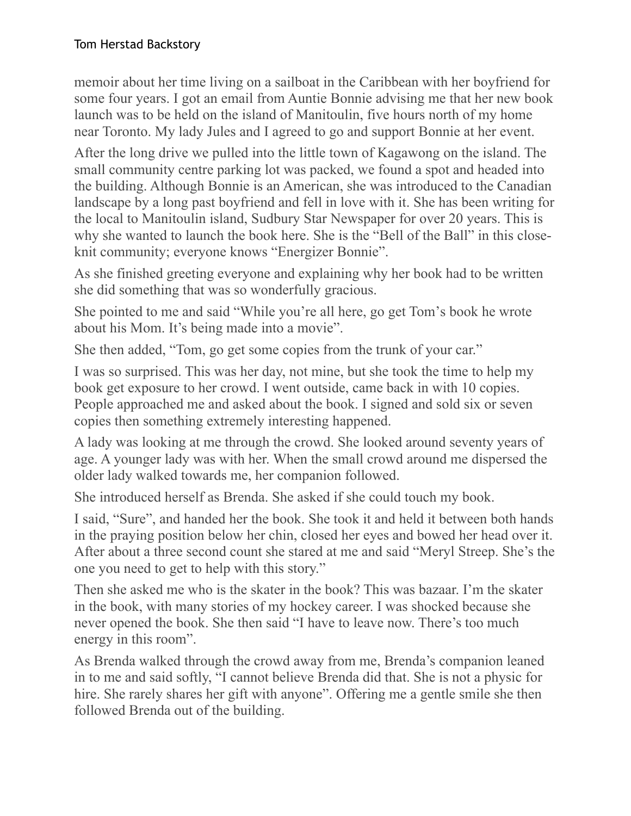memoir about her time living on a sailboat in the Caribbean with her boyfriend for some four years. I got an email from Auntie Bonnie advising me that her new book launch was to be held on the island of Manitoulin, five hours north of my home near Toronto. My lady Jules and I agreed to go and support Bonnie at her event.

After the long drive we pulled into the little town of Kagawong on the island. The small community centre parking lot was packed, we found a spot and headed into the building. Although Bonnie is an American, she was introduced to the Canadian landscape by a long past boyfriend and fell in love with it. She has been writing for the local to Manitoulin island, Sudbury Star Newspaper for over 20 years. This is why she wanted to launch the book here. She is the "Bell of the Ball" in this closeknit community; everyone knows "Energizer Bonnie".

As she finished greeting everyone and explaining why her book had to be written she did something that was so wonderfully gracious.

She pointed to me and said "While you're all here, go get Tom's book he wrote about his Mom. It's being made into a movie".

She then added, "Tom, go get some copies from the trunk of your car."

I was so surprised. This was her day, not mine, but she took the time to help my book get exposure to her crowd. I went outside, came back in with 10 copies. People approached me and asked about the book. I signed and sold six or seven copies then something extremely interesting happened.

A lady was looking at me through the crowd. She looked around seventy years of age. A younger lady was with her. When the small crowd around me dispersed the older lady walked towards me, her companion followed.

She introduced herself as Brenda. She asked if she could touch my book.

I said, "Sure", and handed her the book. She took it and held it between both hands in the praying position below her chin, closed her eyes and bowed her head over it. After about a three second count she stared at me and said "Meryl Streep. She's the one you need to get to help with this story."

Then she asked me who is the skater in the book? This was bazaar. I'm the skater in the book, with many stories of my hockey career. I was shocked because she never opened the book. She then said "I have to leave now. There's too much energy in this room".

As Brenda walked through the crowd away from me, Brenda's companion leaned in to me and said softly, "I cannot believe Brenda did that. She is not a physic for hire. She rarely shares her gift with anyone". Offering me a gentle smile she then followed Brenda out of the building.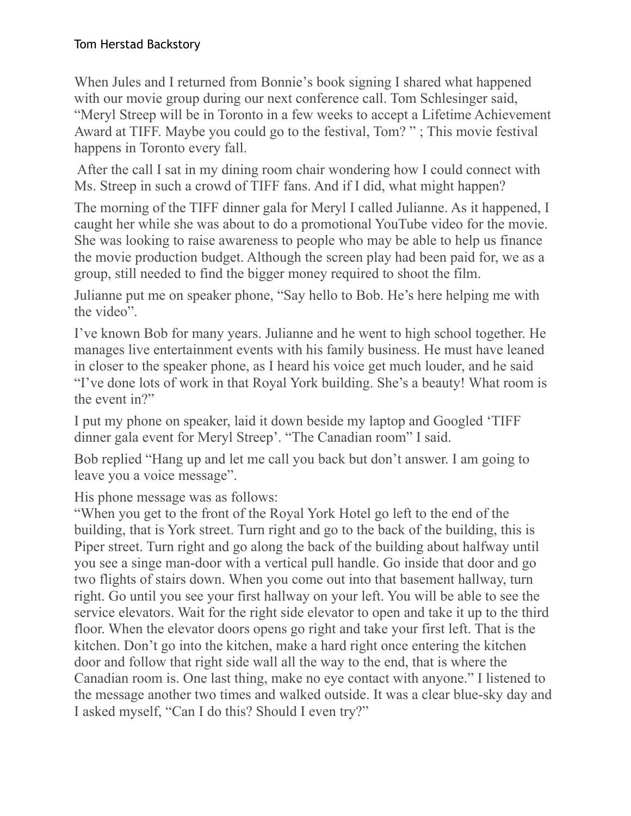When Jules and I returned from Bonnie's book signing I shared what happened with our movie group during our next conference call. Tom Schlesinger said, "Meryl Streep will be in Toronto in a few weeks to accept a Lifetime Achievement Award at TIFF. Maybe you could go to the festival, Tom? " ; This movie festival happens in Toronto every fall.

 After the call I sat in my dining room chair wondering how I could connect with Ms. Streep in such a crowd of TIFF fans. And if I did, what might happen?

The morning of the TIFF dinner gala for Meryl I called Julianne. As it happened, I caught her while she was about to do a promotional YouTube video for the movie. She was looking to raise awareness to people who may be able to help us finance the movie production budget. Although the screen play had been paid for, we as a group, still needed to find the bigger money required to shoot the film.

Julianne put me on speaker phone, "Say hello to Bob. He's here helping me with the video".

I've known Bob for many years. Julianne and he went to high school together. He manages live entertainment events with his family business. He must have leaned in closer to the speaker phone, as I heard his voice get much louder, and he said "I've done lots of work in that Royal York building. She's a beauty! What room is the event in?"

I put my phone on speaker, laid it down beside my laptop and Googled 'TIFF dinner gala event for Meryl Streep'. "The Canadian room" I said.

Bob replied "Hang up and let me call you back but don't answer. I am going to leave you a voice message".

His phone message was as follows:

"When you get to the front of the Royal York Hotel go left to the end of the building, that is York street. Turn right and go to the back of the building, this is Piper street. Turn right and go along the back of the building about halfway until you see a singe man-door with a vertical pull handle. Go inside that door and go two flights of stairs down. When you come out into that basement hallway, turn right. Go until you see your first hallway on your left. You will be able to see the service elevators. Wait for the right side elevator to open and take it up to the third floor. When the elevator doors opens go right and take your first left. That is the kitchen. Don't go into the kitchen, make a hard right once entering the kitchen door and follow that right side wall all the way to the end, that is where the Canadian room is. One last thing, make no eye contact with anyone." I listened to the message another two times and walked outside. It was a clear blue-sky day and I asked myself, "Can I do this? Should I even try?"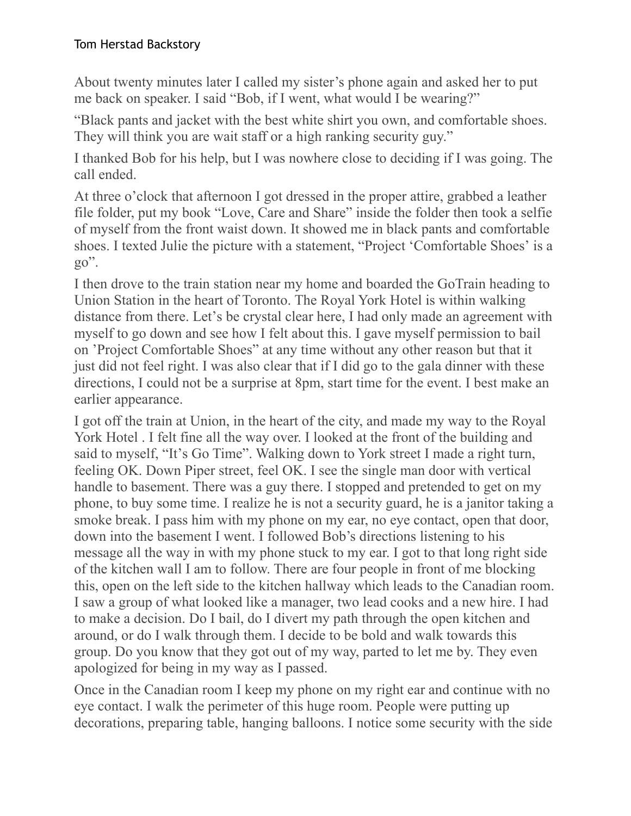About twenty minutes later I called my sister's phone again and asked her to put me back on speaker. I said "Bob, if I went, what would I be wearing?"

"Black pants and jacket with the best white shirt you own, and comfortable shoes. They will think you are wait staff or a high ranking security guy."

I thanked Bob for his help, but I was nowhere close to deciding if I was going. The call ended.

At three o'clock that afternoon I got dressed in the proper attire, grabbed a leather file folder, put my book "Love, Care and Share" inside the folder then took a selfie of myself from the front waist down. It showed me in black pants and comfortable shoes. I texted Julie the picture with a statement, "Project 'Comfortable Shoes' is a  $go$ ".

I then drove to the train station near my home and boarded the GoTrain heading to Union Station in the heart of Toronto. The Royal York Hotel is within walking distance from there. Let's be crystal clear here, I had only made an agreement with myself to go down and see how I felt about this. I gave myself permission to bail on 'Project Comfortable Shoes" at any time without any other reason but that it just did not feel right. I was also clear that if I did go to the gala dinner with these directions, I could not be a surprise at 8pm, start time for the event. I best make an earlier appearance.

I got off the train at Union, in the heart of the city, and made my way to the Royal York Hotel . I felt fine all the way over. I looked at the front of the building and said to myself, "It's Go Time". Walking down to York street I made a right turn, feeling OK. Down Piper street, feel OK. I see the single man door with vertical handle to basement. There was a guy there. I stopped and pretended to get on my phone, to buy some time. I realize he is not a security guard, he is a janitor taking a smoke break. I pass him with my phone on my ear, no eye contact, open that door, down into the basement I went. I followed Bob's directions listening to his message all the way in with my phone stuck to my ear. I got to that long right side of the kitchen wall I am to follow. There are four people in front of me blocking this, open on the left side to the kitchen hallway which leads to the Canadian room. I saw a group of what looked like a manager, two lead cooks and a new hire. I had to make a decision. Do I bail, do I divert my path through the open kitchen and around, or do I walk through them. I decide to be bold and walk towards this group. Do you know that they got out of my way, parted to let me by. They even apologized for being in my way as I passed.

Once in the Canadian room I keep my phone on my right ear and continue with no eye contact. I walk the perimeter of this huge room. People were putting up decorations, preparing table, hanging balloons. I notice some security with the side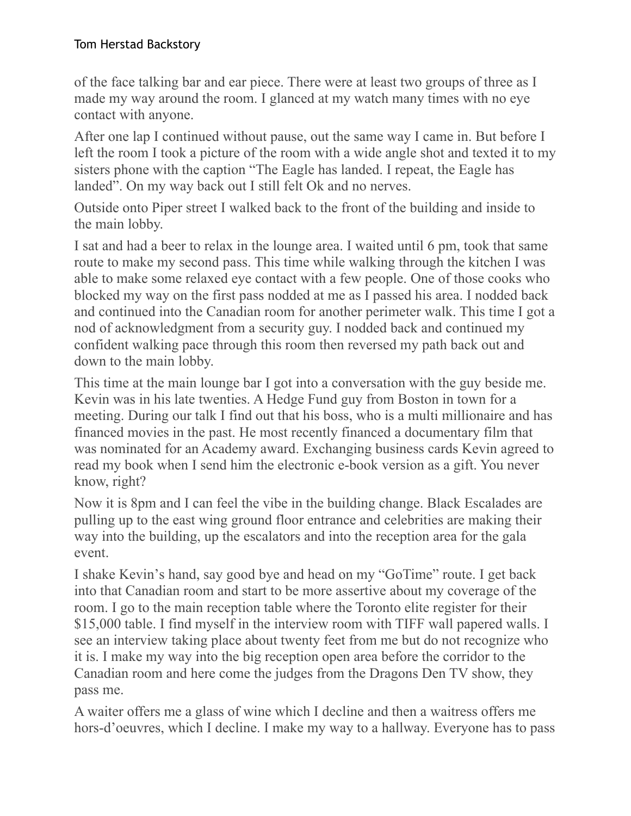of the face talking bar and ear piece. There were at least two groups of three as I made my way around the room. I glanced at my watch many times with no eye contact with anyone.

After one lap I continued without pause, out the same way I came in. But before I left the room I took a picture of the room with a wide angle shot and texted it to my sisters phone with the caption "The Eagle has landed. I repeat, the Eagle has landed". On my way back out I still felt Ok and no nerves.

Outside onto Piper street I walked back to the front of the building and inside to the main lobby.

I sat and had a beer to relax in the lounge area. I waited until 6 pm, took that same route to make my second pass. This time while walking through the kitchen I was able to make some relaxed eye contact with a few people. One of those cooks who blocked my way on the first pass nodded at me as I passed his area. I nodded back and continued into the Canadian room for another perimeter walk. This time I got a nod of acknowledgment from a security guy. I nodded back and continued my confident walking pace through this room then reversed my path back out and down to the main lobby.

This time at the main lounge bar I got into a conversation with the guy beside me. Kevin was in his late twenties. A Hedge Fund guy from Boston in town for a meeting. During our talk I find out that his boss, who is a multi millionaire and has financed movies in the past. He most recently financed a documentary film that was nominated for an Academy award. Exchanging business cards Kevin agreed to read my book when I send him the electronic e-book version as a gift. You never know, right?

Now it is 8pm and I can feel the vibe in the building change. Black Escalades are pulling up to the east wing ground floor entrance and celebrities are making their way into the building, up the escalators and into the reception area for the gala event.

I shake Kevin's hand, say good bye and head on my "GoTime" route. I get back into that Canadian room and start to be more assertive about my coverage of the room. I go to the main reception table where the Toronto elite register for their \$15,000 table. I find myself in the interview room with TIFF wall papered walls. I see an interview taking place about twenty feet from me but do not recognize who it is. I make my way into the big reception open area before the corridor to the Canadian room and here come the judges from the Dragons Den TV show, they pass me.

A waiter offers me a glass of wine which I decline and then a waitress offers me hors-d'oeuvres, which I decline. I make my way to a hallway. Everyone has to pass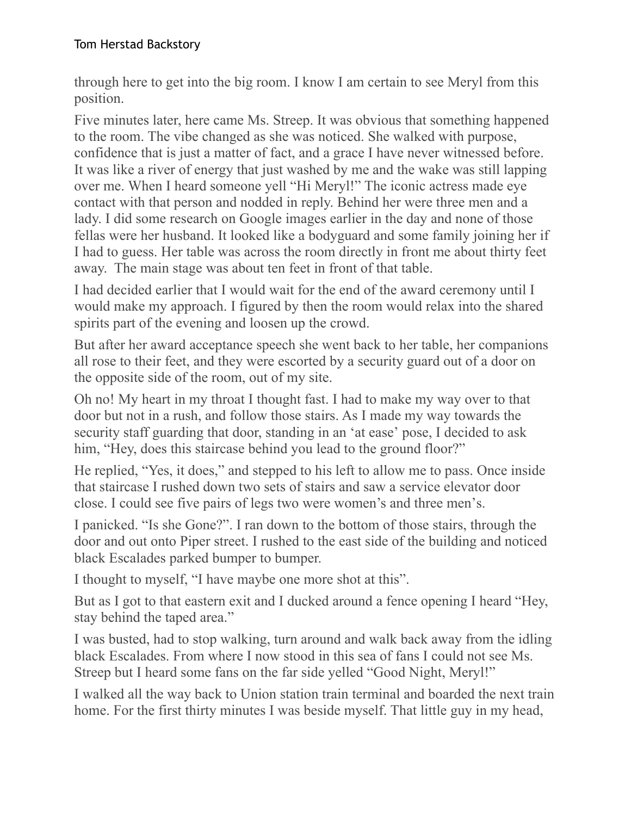through here to get into the big room. I know I am certain to see Meryl from this position.

Five minutes later, here came Ms. Streep. It was obvious that something happened to the room. The vibe changed as she was noticed. She walked with purpose, confidence that is just a matter of fact, and a grace I have never witnessed before. It was like a river of energy that just washed by me and the wake was still lapping over me. When I heard someone yell "Hi Meryl!" The iconic actress made eye contact with that person and nodded in reply. Behind her were three men and a lady. I did some research on Google images earlier in the day and none of those fellas were her husband. It looked like a bodyguard and some family joining her if I had to guess. Her table was across the room directly in front me about thirty feet away. The main stage was about ten feet in front of that table.

I had decided earlier that I would wait for the end of the award ceremony until I would make my approach. I figured by then the room would relax into the shared spirits part of the evening and loosen up the crowd.

But after her award acceptance speech she went back to her table, her companions all rose to their feet, and they were escorted by a security guard out of a door on the opposite side of the room, out of my site.

Oh no! My heart in my throat I thought fast. I had to make my way over to that door but not in a rush, and follow those stairs. As I made my way towards the security staff guarding that door, standing in an 'at ease' pose, I decided to ask him, "Hey, does this staircase behind you lead to the ground floor?"

He replied, "Yes, it does," and stepped to his left to allow me to pass. Once inside that staircase I rushed down two sets of stairs and saw a service elevator door close. I could see five pairs of legs two were women's and three men's.

I panicked. "Is she Gone?". I ran down to the bottom of those stairs, through the door and out onto Piper street. I rushed to the east side of the building and noticed black Escalades parked bumper to bumper.

I thought to myself, "I have maybe one more shot at this".

But as I got to that eastern exit and I ducked around a fence opening I heard "Hey, stay behind the taped area."

I was busted, had to stop walking, turn around and walk back away from the idling black Escalades. From where I now stood in this sea of fans I could not see Ms. Streep but I heard some fans on the far side yelled "Good Night, Meryl!"

I walked all the way back to Union station train terminal and boarded the next train home. For the first thirty minutes I was beside myself. That little guy in my head,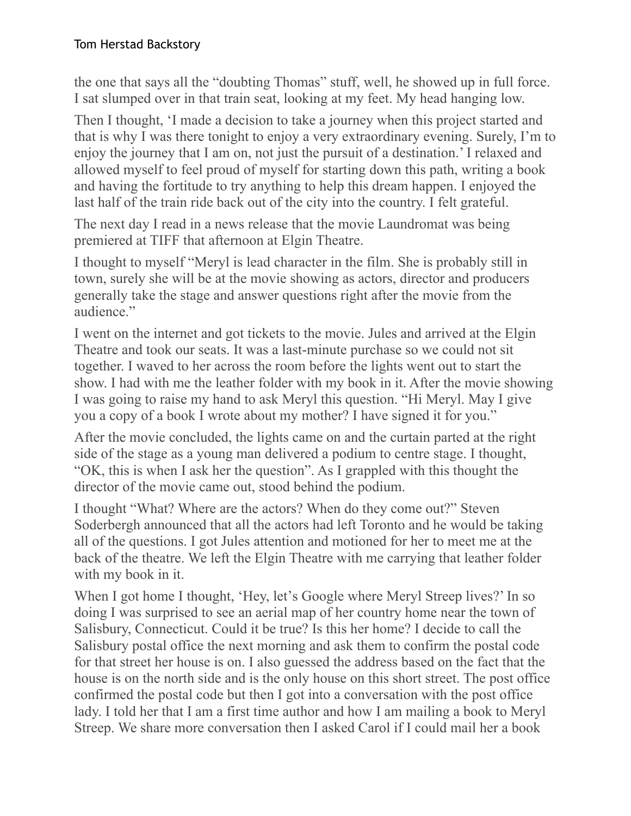the one that says all the "doubting Thomas" stuff, well, he showed up in full force. I sat slumped over in that train seat, looking at my feet. My head hanging low.

Then I thought, 'I made a decision to take a journey when this project started and that is why I was there tonight to enjoy a very extraordinary evening. Surely, I'm to enjoy the journey that I am on, not just the pursuit of a destination.' I relaxed and allowed myself to feel proud of myself for starting down this path, writing a book and having the fortitude to try anything to help this dream happen. I enjoyed the last half of the train ride back out of the city into the country. I felt grateful.

The next day I read in a news release that the movie Laundromat was being premiered at TIFF that afternoon at Elgin Theatre.

I thought to myself "Meryl is lead character in the film. She is probably still in town, surely she will be at the movie showing as actors, director and producers generally take the stage and answer questions right after the movie from the audience."

I went on the internet and got tickets to the movie. Jules and arrived at the Elgin Theatre and took our seats. It was a last-minute purchase so we could not sit together. I waved to her across the room before the lights went out to start the show. I had with me the leather folder with my book in it. After the movie showing I was going to raise my hand to ask Meryl this question. "Hi Meryl. May I give you a copy of a book I wrote about my mother? I have signed it for you."

After the movie concluded, the lights came on and the curtain parted at the right side of the stage as a young man delivered a podium to centre stage. I thought, "OK, this is when I ask her the question". As I grappled with this thought the director of the movie came out, stood behind the podium.

I thought "What? Where are the actors? When do they come out?" Steven Soderbergh announced that all the actors had left Toronto and he would be taking all of the questions. I got Jules attention and motioned for her to meet me at the back of the theatre. We left the Elgin Theatre with me carrying that leather folder with my book in it.

When I got home I thought, 'Hey, let's Google where Meryl Streep lives?' In so doing I was surprised to see an aerial map of her country home near the town of Salisbury, Connecticut. Could it be true? Is this her home? I decide to call the Salisbury postal office the next morning and ask them to confirm the postal code for that street her house is on. I also guessed the address based on the fact that the house is on the north side and is the only house on this short street. The post office confirmed the postal code but then I got into a conversation with the post office lady. I told her that I am a first time author and how I am mailing a book to Meryl Streep. We share more conversation then I asked Carol if I could mail her a book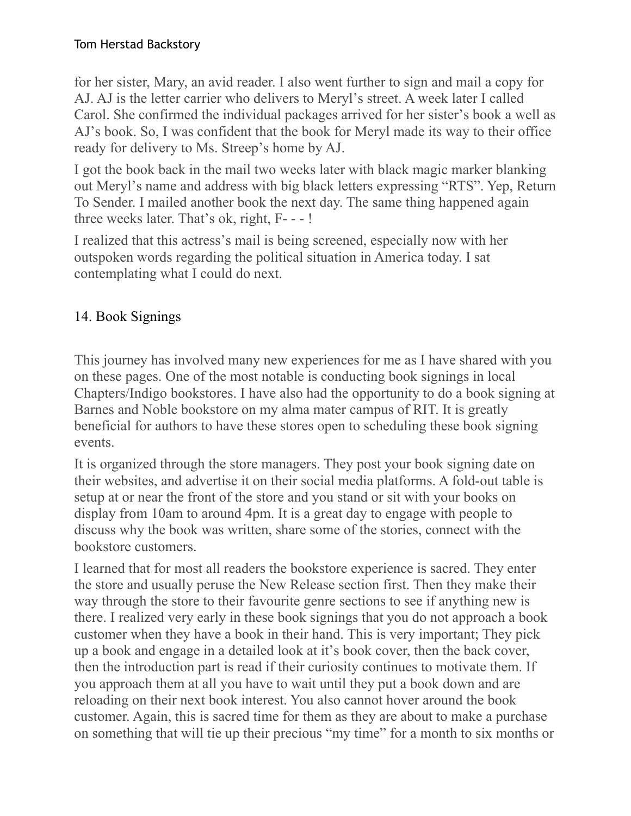for her sister, Mary, an avid reader. I also went further to sign and mail a copy for AJ. AJ is the letter carrier who delivers to Meryl's street. A week later I called Carol. She confirmed the individual packages arrived for her sister's book a well as AJ's book. So, I was confident that the book for Meryl made its way to their office ready for delivery to Ms. Streep's home by AJ.

I got the book back in the mail two weeks later with black magic marker blanking out Meryl's name and address with big black letters expressing "RTS". Yep, Return To Sender. I mailed another book the next day. The same thing happened again three weeks later. That's ok, right, F- - - !

I realized that this actress's mail is being screened, especially now with her outspoken words regarding the political situation in America today. I sat contemplating what I could do next.

# 14. Book Signings

This journey has involved many new experiences for me as I have shared with you on these pages. One of the most notable is conducting book signings in local Chapters/Indigo bookstores. I have also had the opportunity to do a book signing at Barnes and Noble bookstore on my alma mater campus of RIT. It is greatly beneficial for authors to have these stores open to scheduling these book signing events.

It is organized through the store managers. They post your book signing date on their websites, and advertise it on their social media platforms. A fold-out table is setup at or near the front of the store and you stand or sit with your books on display from 10am to around 4pm. It is a great day to engage with people to discuss why the book was written, share some of the stories, connect with the bookstore customers.

I learned that for most all readers the bookstore experience is sacred. They enter the store and usually peruse the New Release section first. Then they make their way through the store to their favourite genre sections to see if anything new is there. I realized very early in these book signings that you do not approach a book customer when they have a book in their hand. This is very important; They pick up a book and engage in a detailed look at it's book cover, then the back cover, then the introduction part is read if their curiosity continues to motivate them. If you approach them at all you have to wait until they put a book down and are reloading on their next book interest. You also cannot hover around the book customer. Again, this is sacred time for them as they are about to make a purchase on something that will tie up their precious "my time" for a month to six months or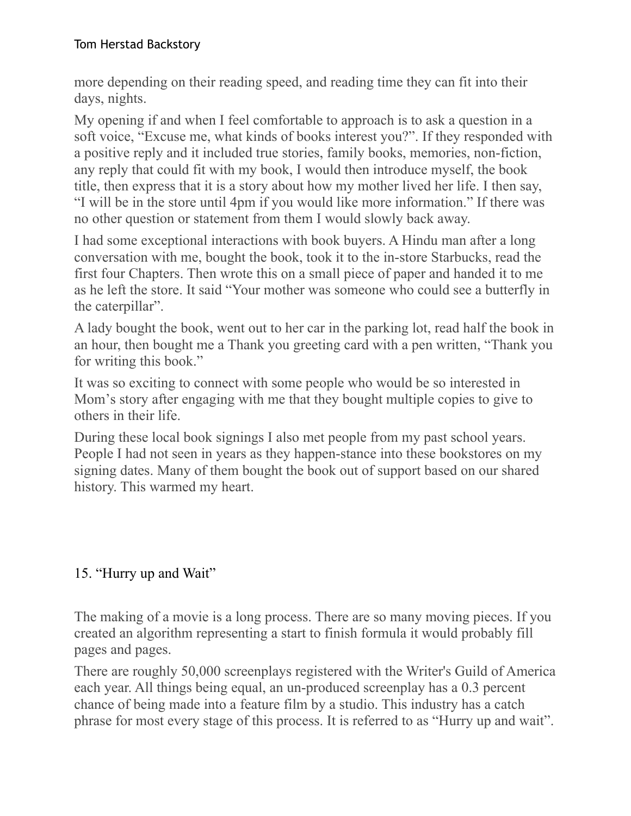more depending on their reading speed, and reading time they can fit into their days, nights.

My opening if and when I feel comfortable to approach is to ask a question in a soft voice, "Excuse me, what kinds of books interest you?". If they responded with a positive reply and it included true stories, family books, memories, non-fiction, any reply that could fit with my book, I would then introduce myself, the book title, then express that it is a story about how my mother lived her life. I then say, "I will be in the store until 4pm if you would like more information." If there was no other question or statement from them I would slowly back away.

I had some exceptional interactions with book buyers. A Hindu man after a long conversation with me, bought the book, took it to the in-store Starbucks, read the first four Chapters. Then wrote this on a small piece of paper and handed it to me as he left the store. It said "Your mother was someone who could see a butterfly in the caterpillar".

A lady bought the book, went out to her car in the parking lot, read half the book in an hour, then bought me a Thank you greeting card with a pen written, "Thank you for writing this book."

It was so exciting to connect with some people who would be so interested in Mom's story after engaging with me that they bought multiple copies to give to others in their life.

During these local book signings I also met people from my past school years. People I had not seen in years as they happen-stance into these bookstores on my signing dates. Many of them bought the book out of support based on our shared history. This warmed my heart.

## 15. "Hurry up and Wait"

The making of a movie is a long process. There are so many moving pieces. If you created an algorithm representing a start to finish formula it would probably fill pages and pages.

There are roughly 50,000 screenplays registered with the Writer's Guild of America each year. All things being equal, an un-produced screenplay has a 0.3 percent chance of being made into a feature film by a studio. This industry has a catch phrase for most every stage of this process. It is referred to as "Hurry up and wait".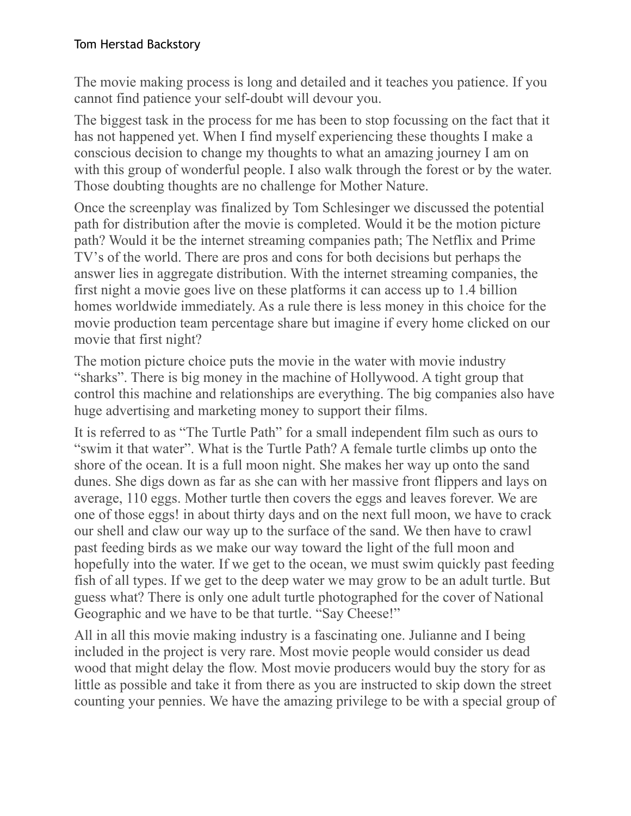The movie making process is long and detailed and it teaches you patience. If you cannot find patience your self-doubt will devour you.

The biggest task in the process for me has been to stop focussing on the fact that it has not happened yet. When I find myself experiencing these thoughts I make a conscious decision to change my thoughts to what an amazing journey I am on with this group of wonderful people. I also walk through the forest or by the water. Those doubting thoughts are no challenge for Mother Nature.

Once the screenplay was finalized by Tom Schlesinger we discussed the potential path for distribution after the movie is completed. Would it be the motion picture path? Would it be the internet streaming companies path; The Netflix and Prime TV's of the world. There are pros and cons for both decisions but perhaps the answer lies in aggregate distribution. With the internet streaming companies, the first night a movie goes live on these platforms it can access up to 1.4 billion homes worldwide immediately. As a rule there is less money in this choice for the movie production team percentage share but imagine if every home clicked on our movie that first night?

The motion picture choice puts the movie in the water with movie industry "sharks". There is big money in the machine of Hollywood. A tight group that control this machine and relationships are everything. The big companies also have huge advertising and marketing money to support their films.

It is referred to as "The Turtle Path" for a small independent film such as ours to "swim it that water". What is the Turtle Path? A female turtle climbs up onto the shore of the ocean. It is a full moon night. She makes her way up onto the sand dunes. She digs down as far as she can with her massive front flippers and lays on average, 110 eggs. Mother turtle then covers the eggs and leaves forever. We are one of those eggs! in about thirty days and on the next full moon, we have to crack our shell and claw our way up to the surface of the sand. We then have to crawl past feeding birds as we make our way toward the light of the full moon and hopefully into the water. If we get to the ocean, we must swim quickly past feeding fish of all types. If we get to the deep water we may grow to be an adult turtle. But guess what? There is only one adult turtle photographed for the cover of National Geographic and we have to be that turtle. "Say Cheese!"

All in all this movie making industry is a fascinating one. Julianne and I being included in the project is very rare. Most movie people would consider us dead wood that might delay the flow. Most movie producers would buy the story for as little as possible and take it from there as you are instructed to skip down the street counting your pennies. We have the amazing privilege to be with a special group of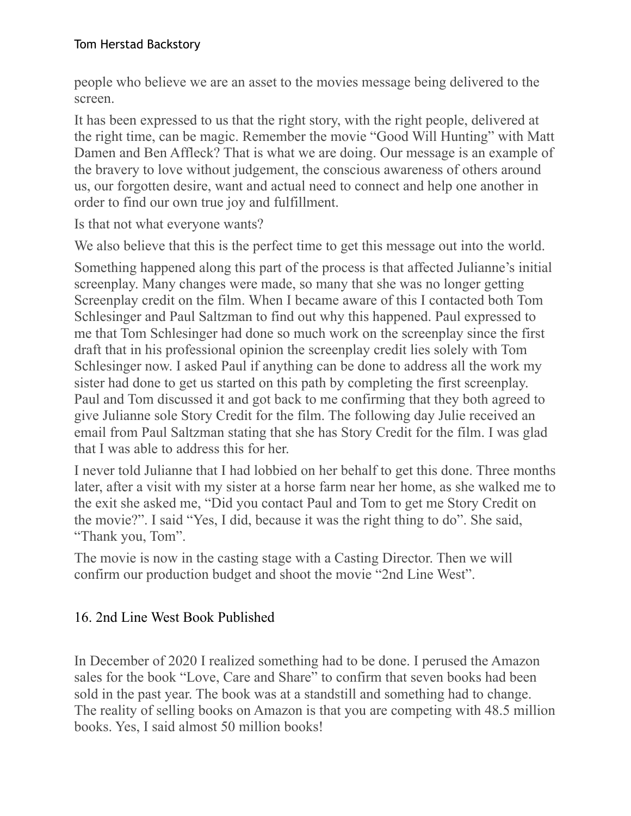people who believe we are an asset to the movies message being delivered to the screen.

It has been expressed to us that the right story, with the right people, delivered at the right time, can be magic. Remember the movie "Good Will Hunting" with Matt Damen and Ben Affleck? That is what we are doing. Our message is an example of the bravery to love without judgement, the conscious awareness of others around us, our forgotten desire, want and actual need to connect and help one another in order to find our own true joy and fulfillment.

Is that not what everyone wants?

We also believe that this is the perfect time to get this message out into the world.

Something happened along this part of the process is that affected Julianne's initial screenplay. Many changes were made, so many that she was no longer getting Screenplay credit on the film. When I became aware of this I contacted both Tom Schlesinger and Paul Saltzman to find out why this happened. Paul expressed to me that Tom Schlesinger had done so much work on the screenplay since the first draft that in his professional opinion the screenplay credit lies solely with Tom Schlesinger now. I asked Paul if anything can be done to address all the work my sister had done to get us started on this path by completing the first screenplay. Paul and Tom discussed it and got back to me confirming that they both agreed to give Julianne sole Story Credit for the film. The following day Julie received an email from Paul Saltzman stating that she has Story Credit for the film. I was glad that I was able to address this for her.

I never told Julianne that I had lobbied on her behalf to get this done. Three months later, after a visit with my sister at a horse farm near her home, as she walked me to the exit she asked me, "Did you contact Paul and Tom to get me Story Credit on the movie?". I said "Yes, I did, because it was the right thing to do". She said, "Thank you, Tom".

The movie is now in the casting stage with a Casting Director. Then we will confirm our production budget and shoot the movie "2nd Line West".

## 16. 2nd Line West Book Published

In December of 2020 I realized something had to be done. I perused the Amazon sales for the book "Love, Care and Share" to confirm that seven books had been sold in the past year. The book was at a standstill and something had to change. The reality of selling books on Amazon is that you are competing with 48.5 million books. Yes, I said almost 50 million books!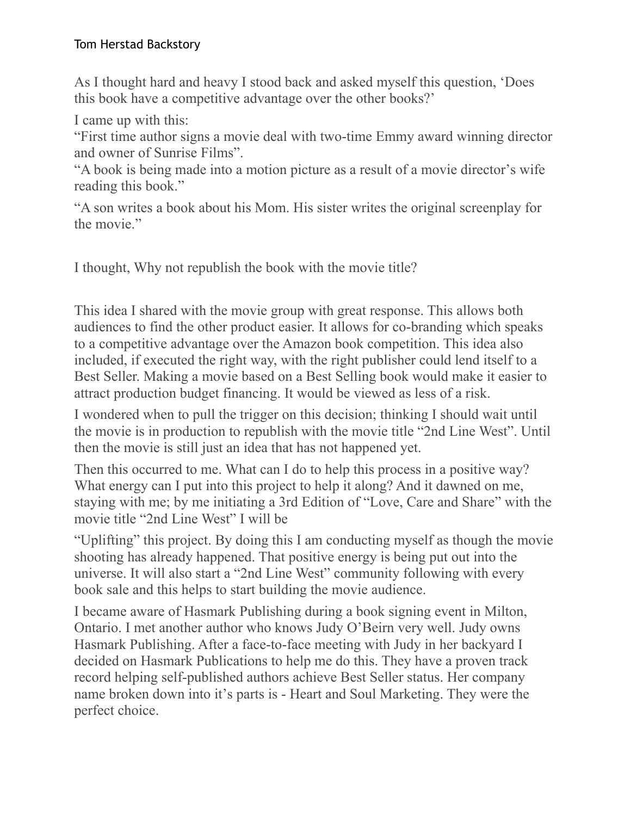As I thought hard and heavy I stood back and asked myself this question, 'Does this book have a competitive advantage over the other books?'

I came up with this:

"First time author signs a movie deal with two-time Emmy award winning director and owner of Sunrise Films".

"A book is being made into a motion picture as a result of a movie director's wife reading this book."

"A son writes a book about his Mom. His sister writes the original screenplay for the movie."

I thought, Why not republish the book with the movie title?

This idea I shared with the movie group with great response. This allows both audiences to find the other product easier. It allows for co-branding which speaks to a competitive advantage over the Amazon book competition. This idea also included, if executed the right way, with the right publisher could lend itself to a Best Seller. Making a movie based on a Best Selling book would make it easier to attract production budget financing. It would be viewed as less of a risk.

I wondered when to pull the trigger on this decision; thinking I should wait until the movie is in production to republish with the movie title "2nd Line West". Until then the movie is still just an idea that has not happened yet.

Then this occurred to me. What can I do to help this process in a positive way? What energy can I put into this project to help it along? And it dawned on me, staying with me; by me initiating a 3rd Edition of "Love, Care and Share" with the movie title "2nd Line West" I will be

"Uplifting" this project. By doing this I am conducting myself as though the movie shooting has already happened. That positive energy is being put out into the universe. It will also start a "2nd Line West" community following with every book sale and this helps to start building the movie audience.

I became aware of Hasmark Publishing during a book signing event in Milton, Ontario. I met another author who knows Judy O'Beirn very well. Judy owns Hasmark Publishing. After a face-to-face meeting with Judy in her backyard I decided on Hasmark Publications to help me do this. They have a proven track record helping self-published authors achieve Best Seller status. Her company name broken down into it's parts is - Heart and Soul Marketing. They were the perfect choice.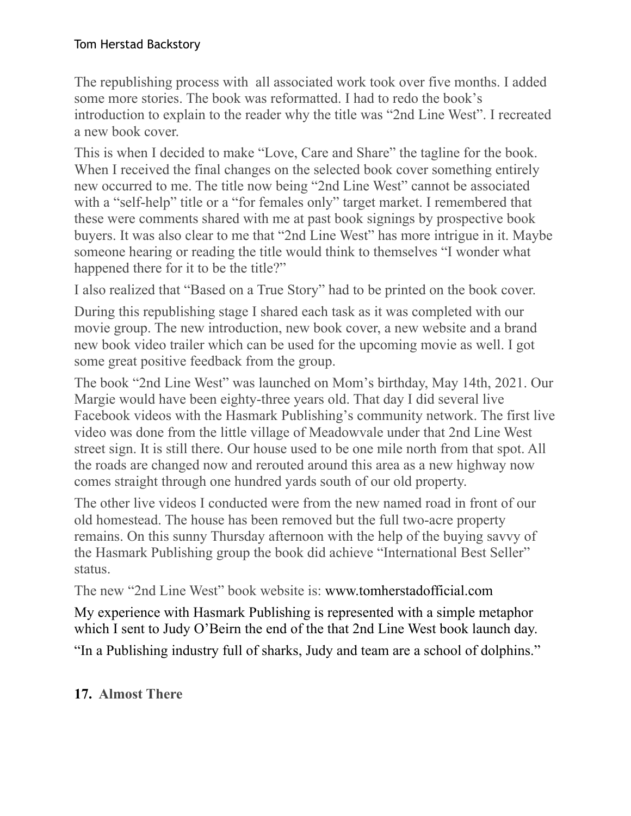The republishing process with all associated work took over five months. I added some more stories. The book was reformatted. I had to redo the book's introduction to explain to the reader why the title was "2nd Line West". I recreated a new book cover.

This is when I decided to make "Love, Care and Share" the tagline for the book. When I received the final changes on the selected book cover something entirely new occurred to me. The title now being "2nd Line West" cannot be associated with a "self-help" title or a "for females only" target market. I remembered that these were comments shared with me at past book signings by prospective book buyers. It was also clear to me that "2nd Line West" has more intrigue in it. Maybe someone hearing or reading the title would think to themselves "I wonder what happened there for it to be the title?"

I also realized that "Based on a True Story" had to be printed on the book cover.

During this republishing stage I shared each task as it was completed with our movie group. The new introduction, new book cover, a new website and a brand new book video trailer which can be used for the upcoming movie as well. I got some great positive feedback from the group.

The book "2nd Line West" was launched on Mom's birthday, May 14th, 2021. Our Margie would have been eighty-three years old. That day I did several live Facebook videos with the Hasmark Publishing's community network. The first live video was done from the little village of Meadowvale under that 2nd Line West street sign. It is still there. Our house used to be one mile north from that spot. All the roads are changed now and rerouted around this area as a new highway now comes straight through one hundred yards south of our old property.

The other live videos I conducted were from the new named road in front of our old homestead. The house has been removed but the full two-acre property remains. On this sunny Thursday afternoon with the help of the buying savvy of the Hasmark Publishing group the book did achieve "International Best Seller" status.

The new "2nd Line West" book website is: www.tomherstadofficial.com

My experience with Hasmark Publishing is represented with a simple metaphor which I sent to Judy O'Beirn the end of the that 2nd Line West book launch day.

"In a Publishing industry full of sharks, Judy and team are a school of dolphins."

## **17. Almost There**